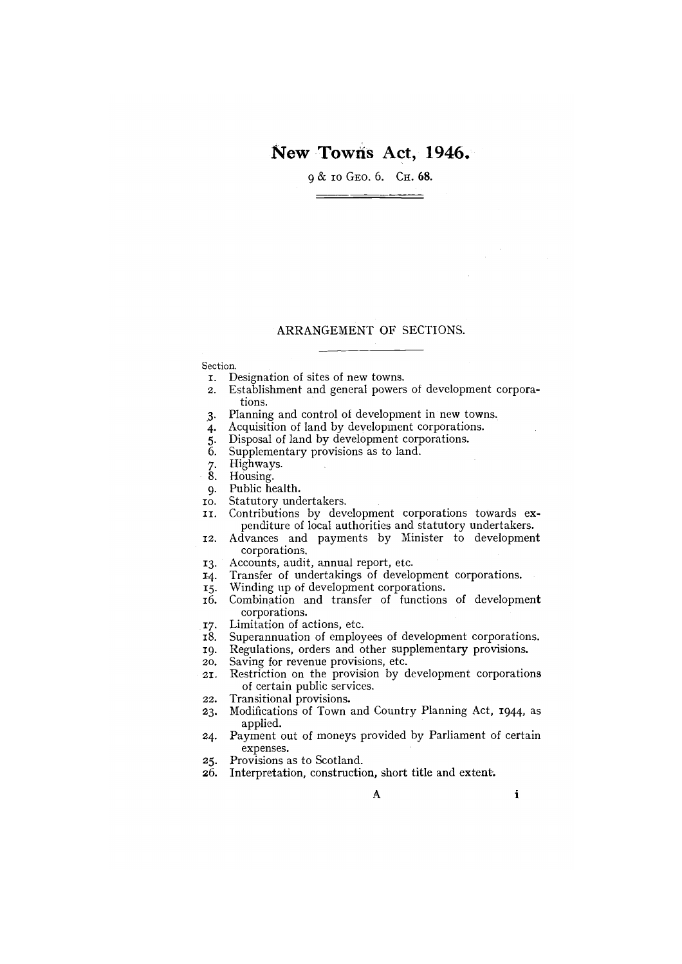# New Towns Act, 1946.

9 & 10 GEO. 6. Сн. 68.

# ARRANGEMENT OF SECTIONS.

#### Section.

- I. Designation of sites of new towns.
- 2. Establishment and general powers of development corporations.
- 3. Planning and control of development in new towns.
- 4. Acquisition of land by development corporations.
- 5. Disposal of land by development corporations.<br>6. Supplementary provisions as to land.
- Supplementary provisions as to land.
- 7. Highways.<br>8. Housing.
- Housing.
- 
- 9. Public health.<br>10. Statutory undertakers.
- II. Contributions by development corporations towards expenditure of local authorities and statutory undertakers.
- 12. Advances and payments by Minister to development corporations.
- 13. Accounts, audit, annual report, etc.
- 14. Transfer of undertakings of development corporations.
- 15. Winding up of development corporations.
- i6. Combination and transfer of functions of development corporations.
- 17. Limitation of actions, etc.
- i8. Superannuation of employees of development corporations.
- 19. Regulations, orders and other supplementary provisions.
- 20. Saving for revenue provisions, etc.
- 21. Restriction on the provision by development corporations of certain public services.
- 22. Transitional provisions.
- 23. Modifications of Town and Country Planning Act, 1944, as applied.
- 24. Payment out of moneys provided by Parliament of certain expenses.
- 25. Provisions as to Scotland.
- 26. Interpretation, construction, short title and extent-.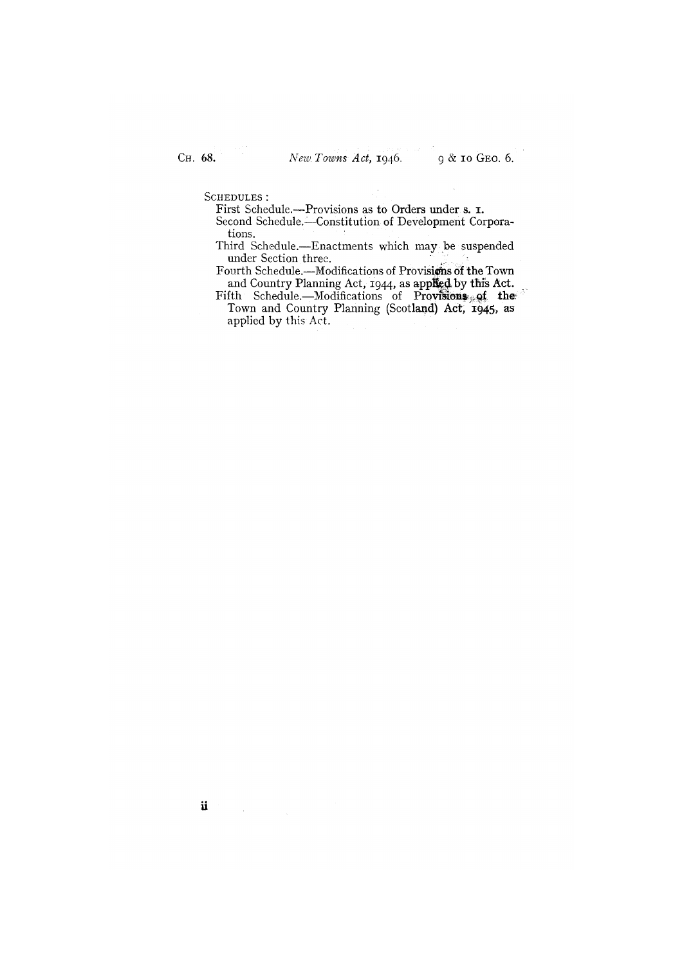SCHEDULES:

First Schedule.—Provisions as to Orders under s. I.

Second Schedule.—Constitution of Development Corporations.

Third Schedule.—Enactments which may be suspended under Section three.

Fourth Schedule.-Modifications of Provisions of the Town and Country Planning Act, 1944, as applied by this Act.

Fifth Schedule.—Modifications of Provisions of the Town and Country Planning (Scotland) Act, 1945, as applied by this Act.

ii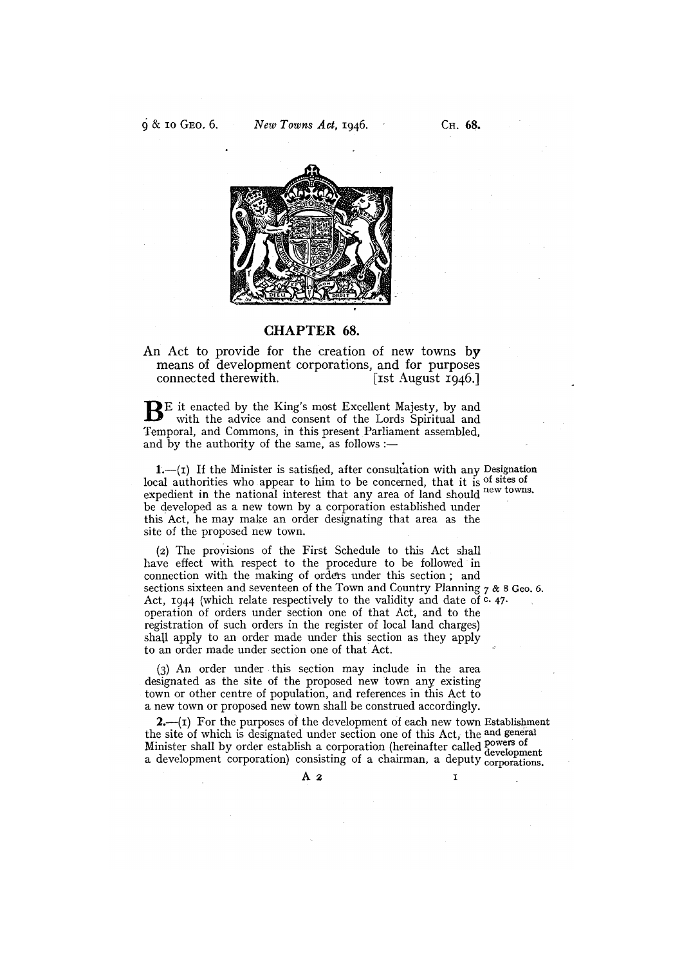

# CHAPTER 68.

An Act to provide for the creation of new towns by means of development corporations, and for purposes<br>connected therewith. [15t August 1946.] connected therewith.

BE it enacted by the King's most Excellent Majesty, by and with the advice and consent of the Lords Spiritual and Temporal, and Commons, in this present Parliament assembled, and by the authority of the same, as follows :-

 $i.$   $-(i)$  If the Minister is satisfied, after consultation with any Designation local authorities who appear to him to be concerned, that it is of sites of expedient in the national interest that any area of land should new towns. be developed as a new town by a corporation established under this Act, he may make an order designating that area as the site of the proposed new town.

(2) The provisions of the First Schedule to this Act shall have effect with respect to the procedure to be followed in connection with the making of orders under this section; and sections sixteen and seventeen of the Town and Country Planning  $7 \& 8 \text{ Geo. } 6$ . Act,  $1944$  (which relate respectively to the validity and date of  $c$ . 47. operation of orders under section one of that Act, and to the registration of such orders in the register of local land charges) shall apply to an order made under this section as they apply to an order made under section one of that Act.

(3) An order under this section may include in the area designated as the site of the proposed new town any existing town or other centre of population, and references in this Act to a new town or proposed new town shall be construed accordingly.

 $2-$ (1) For the purposes of the development of each new town Establishment the site of which is designated under section one of this Act, the and general Minister shall by order establish a corporation (hereinafter called powers of development a development corporation) consisting of a chairman, a deputy corporations.

 $\overline{A}$  2 I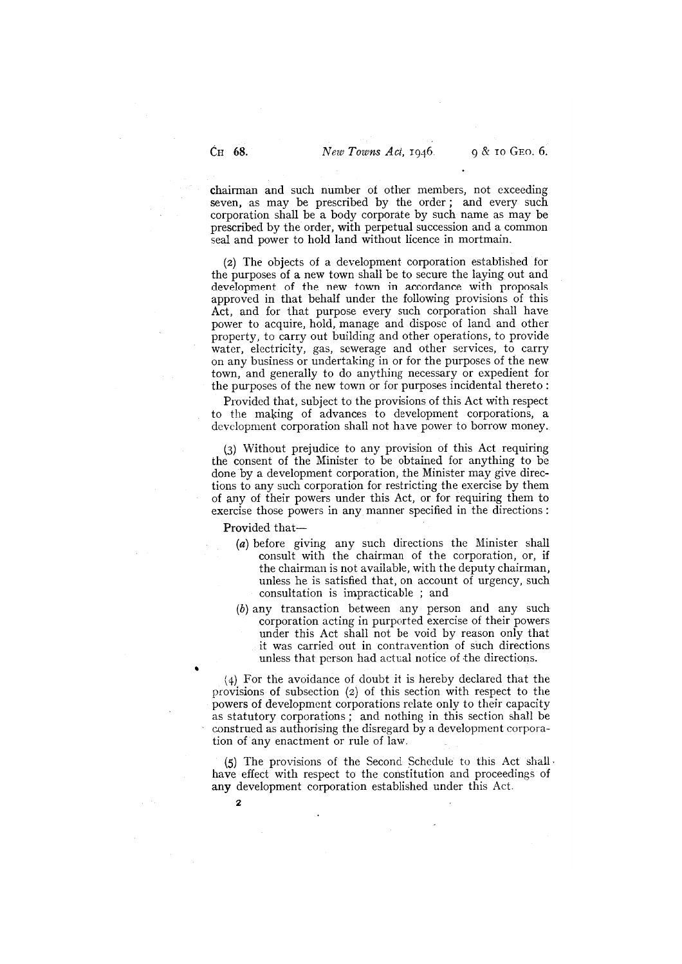chairman and such number of other members, not exceeding seven, as may be prescribed by the order; and every such corporation shall be a body corporate by such name as may be prescribed by the order, with perpetual succession and a common seal and power to hold land without licence in mortmain.

(2) The objects of a development corporation established for the purposes of a new town shall be to secure the laying out and development of the new town in accordance with proposals approved in that behalf under the following provisions of this Act, and for that purpose every such corporation shall have power to acquire, hold, manage and dispose of land and other property, to carry out building and other operations, to provide water, electricity, gas, sewerage and other services, to carry on any business or undertaking in or for the purposes of the new town, and generally to do anything necessary or expedient for the purposes of the new town or for purposes incidental thereto:

Provided that, subject to the provisions of this Act with respect to the making of advances to development corporations, a development corporation shall not have power to borrow money.

(3) Without prejudice to any provision of this Act requiring the consent of the Minister to be obtained for anything to be done by a development corporation, the Minister may give directions to any such corporation for restricting the exercise by them of any of their powers under this Act, or for requiring them to exercise those powers in any manner specified in the directions:

Provided that—

- (a) before giving any such directions the Minister shall consult with the chairman of the corporation, or, if the chairman is not available, with the deputy chairman, unless he is satisfied that, on account of urgency, such consultation is impracticable ; and
- (b) any transaction between any person and any such corporation acting in purported exercise of their powers under this Act shall not be void by reason only that it was carried out in contravention of such directions unless that person had actual notice of the directions.

(4) For the avoidance of doubt it is hereby declared that the provisions of subsection (2) of this section with respect to the powers of development corporations relate only to their capacity as statutory corporations; and nothing in this section shall be construed as authorising the disregard by a development corporation of any enactment or rule of law.

(5) The provisions of the Second Schedule to this Act shall. have effect with respect to the constitution and proceedings of any development corporation established under this Act.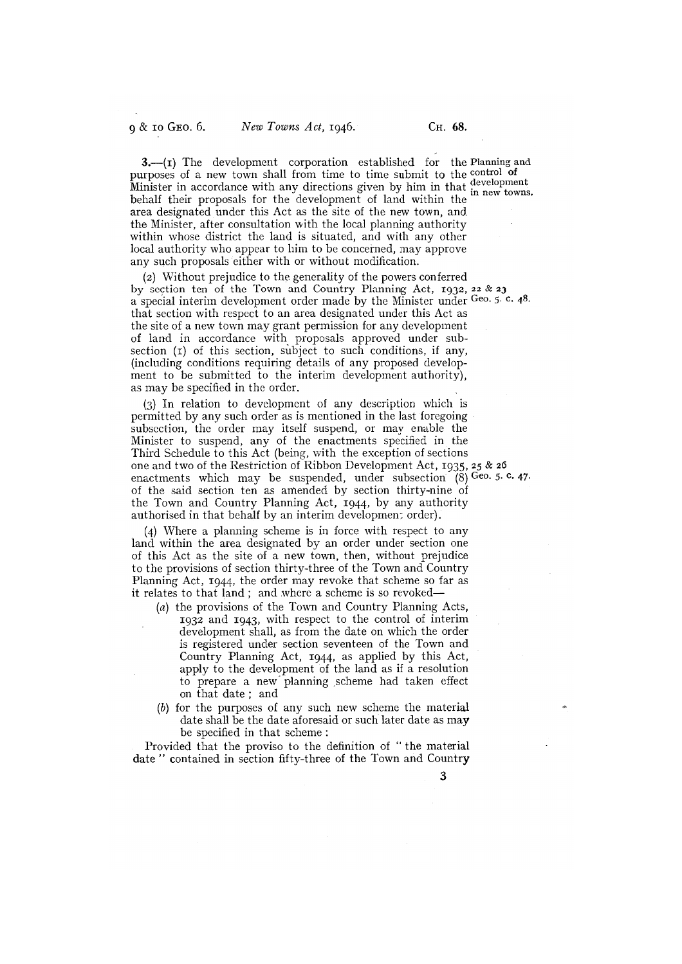3.—(I) The development corporation established for the Planning and purposes of a new town shall from time to time submit to the control of Minister in accordance with any directions given by him in that development<br>behalf their proposals for the development of land within the in new towns. behalf their proposals for the development of land within the area designated under this Act as the site of the new town, and the Minister, after consultation with the local planning authority within whose district the land is situated, and with any other local authority who appear to him to be concerned, may approve any such proposals either with or without modification.

(2) Without prejudice to the generality of the powers conferred by section ten of the Town and Country Planning Act, 1932, 22 & <sup>23</sup> <sup>a</sup>special interim development order made by the Minister under Geo. 5. C. 48. that section with respect to an area designated under this Act as the site of a new town may grant permission for any development of land in accordance with proposals approved under subsection  $(t)$  of this section, subject to such conditions, if any, (including conditions requiring details of any proposed development to be submitted to the interim development authority), as may be specified in the order.

(3) In relation to development of any description which is permitted by any such order as is mentioned in the last foregoing subsection, the order may itself suspend, or may enable the Minister to suspend, any of the enactments specified in the Third Schedule to this Act (being, with the exception of sections one and two of the Restriction of Ribbon Development Act, 1935, 25 & 26 enactments which may be suspended, under subsection  $(8)$  Geo. 5. c. 47. of the said section ten as amended by section thirty-nine of the Town and Country Planning Act, 1944, by any authority authorised in that behalf by an interim development order).

Where a planning scheme is in force with respect to any land within the area designated by an order under section one of this Act as the site of a new town, then, without prejudice to the provisions of section thirty-three of the Town and Country Planning Act, 1944, the order may revoke that scheme so far as it relates to that land; and where a scheme is so revoked—

- $(a)$  the provisions of the Town and Country Planning Acts, 1932 and 1943, with respect to the control of interim development shall, as from the date on which the order is registered under section seventeen of the Town and Country Planning Act, 1944, as applied by this Act, apply to the development of the land as if a resolution to prepare a new planning ,scheme had taken effect on that date; and
- (b) for the purposes of any such new scheme the material date shall be the date aforesaid or such later date as may be specified in that scheme:

Provided that the proviso to the definition of "the material date" contained in section fifty-three of the Town and Country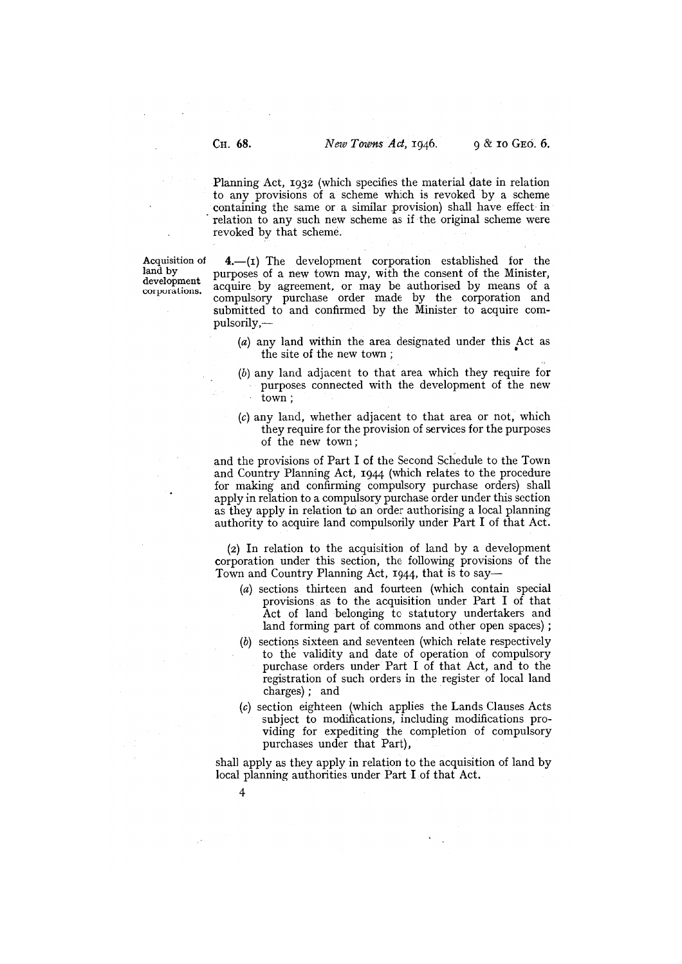Planning Act, 1932 (which specifies the material date in relation to any provisions of a scheme which is revoked by a scheme containing the same or a similar provision) shall have effect in relation to any such new scheme as if the original scheme were revoked by that scheme.

Acquisition of  $\mathbf{4}$ , (I) The development corporation established for the land by land by purposes of a new town may, with the consent of the Minister, development against his agreement or man ha authorized by means of a development acquire by agreement, or may be authorised by means of a compulsory purchase order made by the corporation and submitted to and confirmed by the Minister to acquire compulsorily,—

- (a) any land within the area designated under this Act as the site of the new town
- (b) any land adjacent to that area which they require for purposes connected with the development of the new town;
- (c) any land, whether adjacent to that area or not, which they require for the provision of services for the purposes of the new town;

and the provisions of Part I of the Second Schedule to the Town and Country Planning Act, 1944 (which relates to the procedure for making and confirming compulsory purchase orders) shall apply in relation to a compulsory purchase order under this section as they apply in relation to an order authorising a local planning authority to acquire land compulsorily under Part I of that Act.

(2) In relation to the acquisition of land by a development corporation under this section, the following provisions of the Town and Country Planning Act, 1944, that is to say—

- (a) sections thirteen and fourteen (which contain special provisions as to the acquisition under Part I of that Act of land belonging to statutory undertakers and land forming part of commons and other open spaces)
- (b) sections sixteen and seventeen (which relate respectively to the validity and date of operation of compulsory purchase orders under Part I of that Act, and to the registration of such orders in the register of local land charges); and
- (c) section eighteen (which applies the Lands Clauses Acts subject to modifications, including modifications providing for expediting the completion of compulsory purchases under that Part),

shall apply as they apply in relation to the acquisition of land by local planning authorities under Part I of that Act.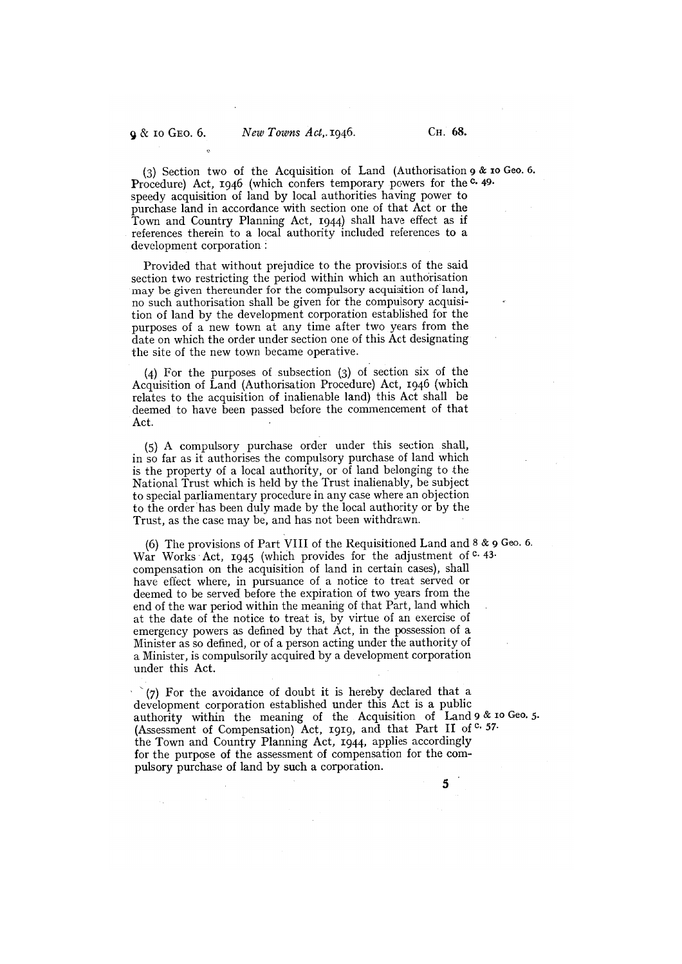(3) Section two of the Acquisition of Land (Authorisation 9 & io Geo. 6. Procedure) Act, 1946 (which confers temporary powers for the <sup>c.</sup> 49. speedy acquisition of land by local authorities having power to purchase land in accordance with section one of that Act or the Town and Country Planning Act, 1944) shall have effect as if references therein to a local authority included references to a development corporation

Provided that without prejudice to the provisions of the said section two restricting the period within which an authorisation may be given thereunder for the compulsory acquisition of land, no such authorisation shall be given for the compulsory acquisition of land by the development corporation established for the purposes of a new town at any time after two years from the date on which the order under section one of this Act designating the site of the new town became operative.

For the purposes of subsection (3) of section six of the Acquisition of Land (Authorisation Procedure) Act, 1946 (which relates to the acquisition of inalienable land) this Act shall be deemed to have been passed before the commencement of that Act.

(5) A compulsory purchase order under this section shall, in so far as it authorises the compulsory purchase of land which is the property of a local authority, or of land belonging to the National Trust which is held by the Trust inalienably, be subject to special parliamentary procedure in any case where an objection to the order has been duly made by the local authority or by the Trust, as the case may be, and has not been withdrawn.

(6) The provisions of Part VIII of the Requisitioned Land and 8 & 9 Geo. 6. War Works Act, 1945 (which provides for the adjustment of  $c$ . 43. compensation on the acquisition of land in certain cases), shall have effect where, in pursuance of a notice to treat served or deemed to be served before the expiration of two years from the end of the war period within the meaning of that Part, land which at the date of the notice to treat is, by virtue of an exercise of emergency powers as defined by that Act, in the possession of a Minister as so defined, or of a person acting under the authority of a Minister, is compulsorily acquired by a development corporation under this Act.

 $^{(7)}$  For the avoidance of doubt it is hereby declared that a development corporation established under this Act is a public authority within the meaning of the Acquisition of Land 9 & 10 Geo. 5. (Assessment of Compensation) Act, 1919, and that Part II of C. 57. the Town and Country Planning Act, 1944, applies accordingly for the purpose of the assessment of compensation for the compulsory purchase of land by such a corporation.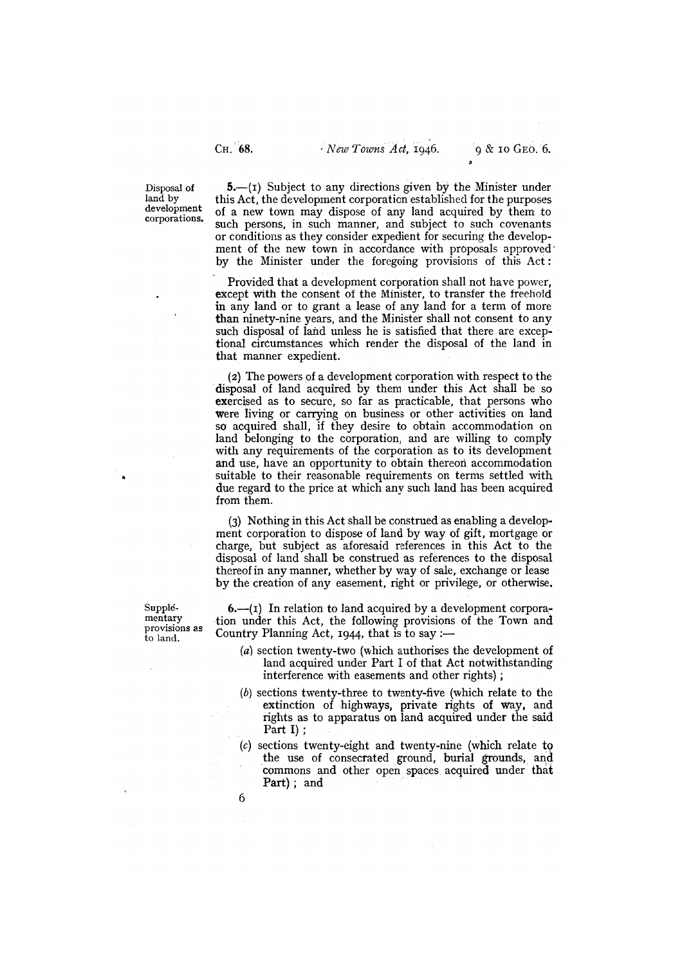Disposal of land by development corporations.

 $5 - (i)$  Subject to any directions given by the Minister under this Act, the development corporation established for the purposes of a new town may dispose of any land acquired by them to such persons, in such manner, and subject to such covenants or conditions as they consider expedient for securing the development of the new town in accordance with proposals approved by the Minister under the foregoing provisions of this Act:

Provided that a development corporation shall not have power, except with the consent of the Minister, to transfer the freehold in any land or to grant a lease of any land for a term of more than ninety-nine years, and the Minister shall not consent to any such disposal of land unless he is satisfied that there are exceptional circumstances which render the disposal of the land in that manner expedient.

(2) The powers of a development corporation with respect to the disposal of land acquired by them under this Act shall be so exercised as to secure, so far as practicable, that persons who were living or carrying on business or other activities on land so acquired shall, if they desire to obtain accommodation on land belonging to the corporation, and are willing to comply with any requirements of the corporation as to its development and use, have an opportunity to obtain thereon accommodation suitable to their reasonable requirements on terms settled with due regard to the price at which any such land has been acquired from them.

(3) Nothing in this Act shall be construed as enabling a development corporation to dispose of land by way of gift, mortgage or charge, but subject as aforesaid references in this Act to the disposal of land shall be construed as references to the disposal thereof in any manner, whether by way of sale, exchange or lease by the creation of any easement, right or privilege, or otherwise.

to land.

Supple-  $\qquad -1$ ) In relation to land acquired by a development corpora-<br>mentary  $\qquad$  tion under this Act, the following provisions of the Town and mentary tion under this Act, the following provisions of the Town and<br>provisions as Country Planning Act, 1944 that is to say the Country Planning Act, 1944, that is to say :—

- $(a)$  section twenty-two (which authorises the development of land acquired under Part I of that Act notwithstanding interference with easements and other rights);
- (b) sections twenty-three to twenty-five (which relate to the extinction of highways, private rights of way, and rights as to apparatus on land acquired under the said Part I);
- (c) sections twenty-eight and twenty-nine (which relate to the use of consecrated ground, burial grounds, and commons and other open spaces acquired under that Part); and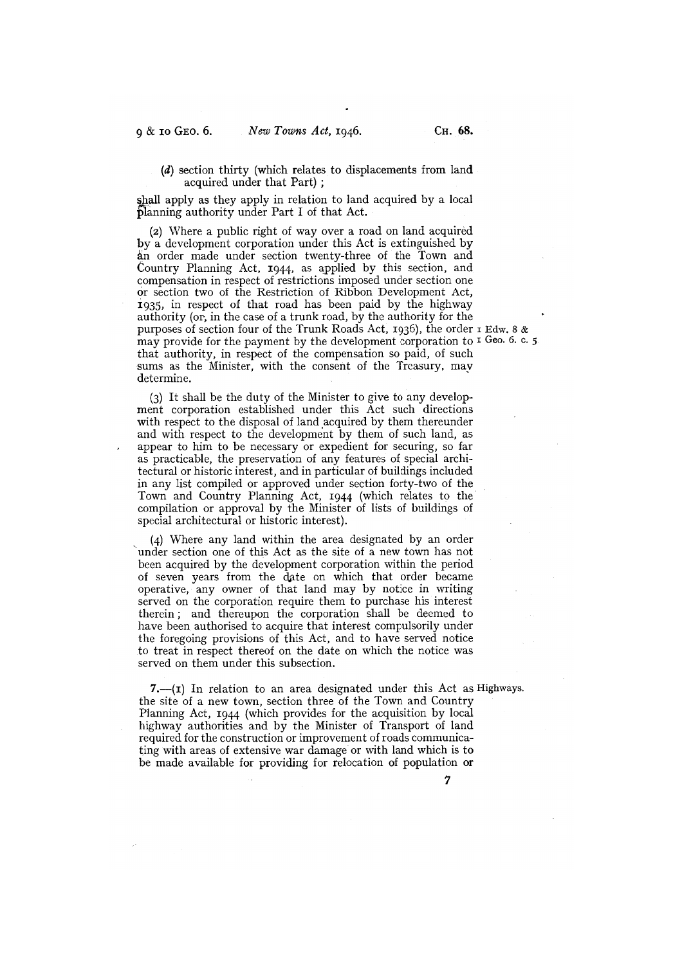(d) section thirty (which relates to displacements from land acquired under that Part);

shall apply as they apply in relation to land acquired by a local planning authority under Part I of that Act.

(2) Where a public right of way over a road on land acquired by a development corporation under this Act is extinguished by an order made under section twenty-three of the Town and Country Planning Act, 1944, as applied by this section, and compensation in respect of restrictions imposed under section one or section two of the Restriction of Ribbon Development Act, 1935, in respect of that road has been paid by the highway authority (or, in the case of a trunk road, by the authority for the purposes of section four of the Trunk Roads Act, 1936), the order i Edw. 8 & may provide for the payment by the development corporation to  $I$  Geo. 6. c. 5. that authority, in respect of the compensation so paid, of such sums as the Minister, with the consent of the Treasury, may determine.

 $(3)$  It shall be the duty of the Minister to give to any development corporation established under this Act such directions with respect to the disposal of land acquired by them thereunder and with respect to the development by them of such land, as appear to him to be necessary or expedient for securing, so far as practicable, the preservation of any features of special architectural or historic interest, and in particular of buildings included in any list compiled or approved under section forty-two of the Town and Country Planning Act, 1944 (which relates to the compilation or approval by the Minister of lists of buildings of special architectural or historic interest).

(4) Where any land within the area designated by an order under section one of this Act as the site of a new town has not been acquired by the development corporation within the period of seven years from the date on which that order became operative, any owner of that land may by notice in writing served on the corporation require them to purchase his interest therein; and thereupon the corporation shall be deemed to have been authorised to acquire that interest compulsorily under the foregoing provisions of this Act, and to have served notice to treat in respect thereof on the date on which the notice was served on them under this subsection.

7.— $(i)$  In relation to an area designated under this Act as Highways. the site of a new town, section three of the Town and Country Planning Act, t944 (which provides for the acquisition by local highway authorities and by the Minister of Transport of land required for the construction or improvement of roads communicating with areas of extensive war damage or with land which is to be made available for providing for relocation of population or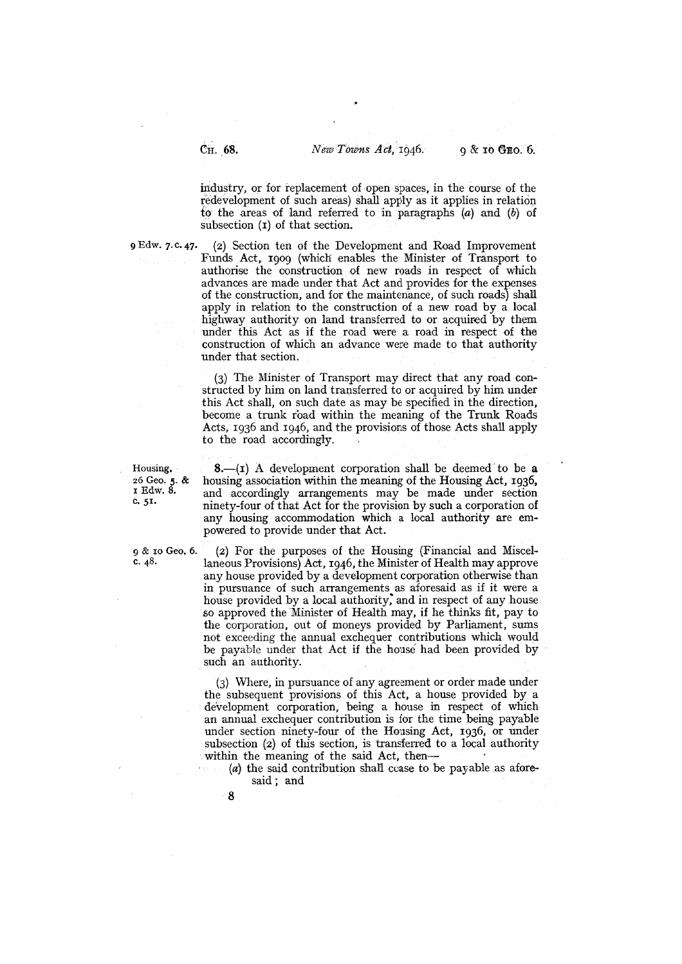industry, or for replacement of open spaces, in the course of the redevelopment of such areas) shall apply as it applies in relation to the areas of land referred to in paragraphs  $(a)$  and  $(b)$  of subsection  $(i)$  of that section.

<sup>9</sup>Edw. 7. C. 47. (2) Section ten of the Development and Road Improvement Funds Act, 1909 (which enables the Minister of Transport to authorise the construction of new roads in respect of which advances are made under that Act and provides for the expenses of the construction, and for the maintenance, of such roads) shall apply in relation to the construction of a new road by a local highway authority on land transferred to or acquired by them under this Act as if the road were a road in respect of the construction of which an advance were made to that authority under that section.

> (3) The Minister of Transport may direct that any road constructed by him on land transferred to or acquired by him under this Act shall, on such date as may be specified in the direction, become a trunk road within the meaning of the Trunk Roads Acts, 1936 and 1946, and the provisions of those Acts shall apply to the road accordingly.

Housing. 8.—(I) A development corporation shall be deemed to be a 26 Geo. 5. & housing association within the meaning of the Housing Act, 1936, 26 Geo. 5. & housing association within the meaning of the Housing Act, 1936,<br>1 Edw. 8. and accordingly arrangements may be made under section <sup>I</sup> Edw. 8. and accordingly arrangements may be made under section c. 51. ninety-four of that Act for the provision by such a corporation of any housing accommodation which a local authority are empowered to provide under that Act.

 $\alpha$  is to Geo. 6. (2) For the purposes of the Housing (Financial and Miscel-<br>c. 48. laneous Provisions) Act. 1046, the Minister of Health may approve laneous Provisions) Act, 1946, the Minister of Health may approve any house provided by a development corporation otherwise than in pursuance of such arrangements as aforesaid as if it were a house provided by a local authority, and in respect of any house so approved the Minister of Health may, if he thinks fit, pay to the corporation, out of moneys provided by Parliament, sums not exceeding the annual exchequer contributions which would be payable under that Act if the house had been provided by such an authority.

> Where, in pursuance of any agreement or order made under the subsequent provisions of this Act, a house provided by a development corporation, being a house in respect of which an annual exchequer contribution is for the time being payable under section ninety-four of the Housing Act, 1936, or under subsection (2) of this section, is transferred to a local authority within the meaning of the said Act, then—

 $(a)$  the said contribution shall cease to be payable as aforesaid; and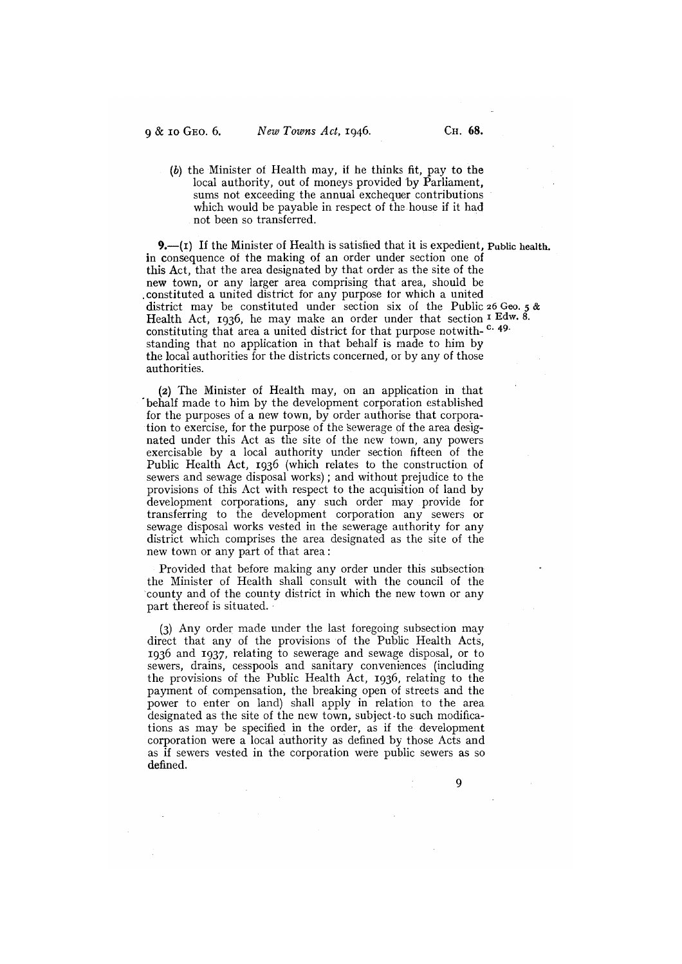(b) the Minister of Health may, if he thinks fit, pay to the local authority, out of moneys provided by Parliament, sums not exceeding the annual exchequer contributions which would be payable in respect of the house if it had not been so transferred.

9.—(r) If the Minister of Health is satisfied that it is expedient, Public health. in consequence of the making of an order under section one of this Act, that the area designated by that order as the site of the new town, or any larger area comprising that area, should be .constituted a united district for any purpose for which a united district may be constituted under section six of the Public 26 Geo. 5 & Health Act, 1936, he may make an order under that section  $I<sup>I</sup>$  Edw. 8. constituting that area a united district for that purpose notwith-<sup>c. 49.</sup> standing that no application in that behalf is made to him by the local authorities for the districts concerned, or by any of those authorities.

(2) The Minister of Health may, on an application in that • behalf made to him by the development corporation established for the purposes of a new town, by order authorise that corporation to exercise, for the purpose of the sewerage of the area designated under this Act as the site of the new town, any powers exercisable by a local authority under section fifteen of the Public Health Act, 1936 (which relates to the construction of sewers and sewage disposal works) ; and without prejudice to the provisions of this Act with respect to the acquisition of land by development corporations, any such order may provide for transferring to the development corporation any sewers or sewage disposal works vested in the sewerage authority for any district which comprises the area designated as the site of the new town or any part of that area:

Provided that before making any order under this subsection the Minister of Health shall consult with the council of the county and of the county district in which the new town or any part thereof is situated.

(3) Any order made under the last foregoing subsection may direct that any of the provisions of the Public Health Acts, 1936 and 1937, relating to sewerage and sewage disposal, or to sewers, drains, cesspools and sanitary conveniences (including the provisions of the Public Health Act, 1936, relating to the payment of compensation, the breaking open of streets and the power to enter on land) shall apply in relation to the area designated as the site of the new town, subject -to such modifications as may be specified in the order, as if the development corporation were a local authority as defined by those Acts and as if sewers vested in the corporation were public sewers as so defined.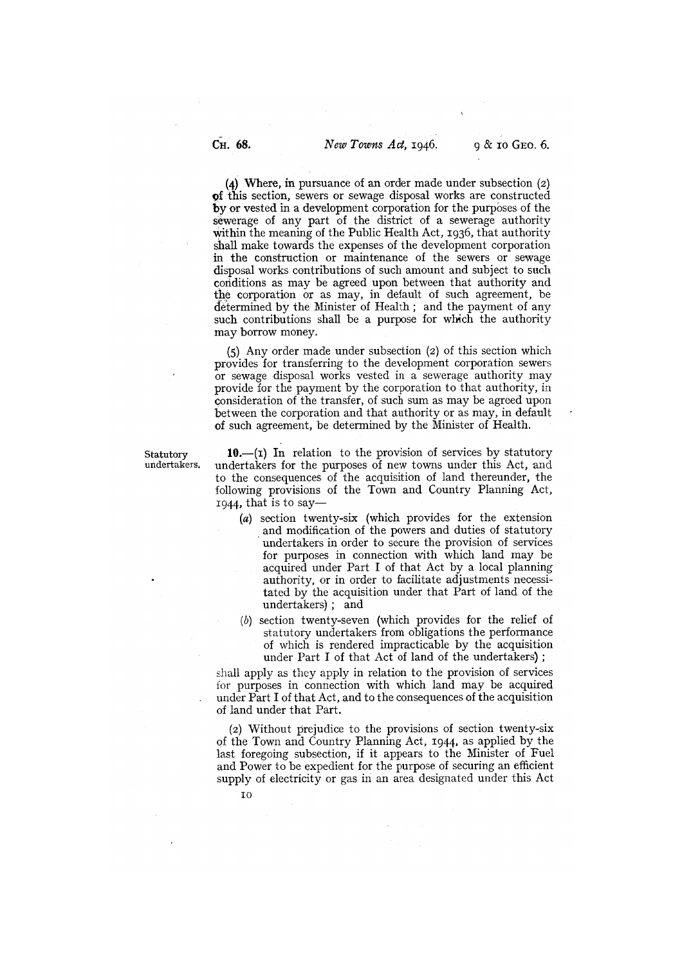(4) Where, in pursuance of an order made under subsection  $(2)$ of this section, sewers or sewage disposal works are constructed by or vested in a development corporation for the purposes of the sewerage of any part of the district of a sewerage authority within the meaning of the Public Health Act, 1936, that authority shall make towards the expenses of the development corporation in the construction or maintenance of the sewers or sewage disposal works contributions of such amount and subject to such conditions as may be agreed upon between that authority and the corporation or as may, in default of such agreement, be determined by the Minister of Health; and the payment of any such contributions shall be a purpose for which the authority may borrow money.

(5) Any order made under subsection (2) of this section which provides for transferring to the development corporation sewers or sewage disposal works vested in a sewerage authority may provide for the payment by the corporation to that authority, in consideration of the transfer, of such sum as may be agreed upon between the corporation and that authority or as may, in default of such agreement, be determined by the Minister of Health.

Statutory **10.**—(I) In relation to the provision of services by statutory undertakers. undertakers for the purposes of new towns under this Act. and undertakers for the purposes of new towns under this Act, and to the consequences of the acquisition of land thereunder, the following provisions of the Town and Country Planning Act, 1944, that is to say—

- (a) section twenty-six (which provides for the extension and modification of the powers and duties of statutory undertakers in order to secure the provision of services for purposes in connection with which land may be acquired under Part I of that Act by a local planning authority, or in order to facilitate adjustments necessitated by the acquisition under that Part of land of the undertakers); and
- (b) section twenty-seven (which provides for the relief of statutory undertakers from obligations the performance of which is rendered impracticable by the acquisition under Part I of that Act of land of the undertakers)

shall apply as they apply in relation to the provision of services for purposes in connection with which land may be acquired under Part I of that Act, and to the consequences of the acquisition of land under that Part.

(2) Without prejudice to the provisions of section twenty-six of the Town and Country Planning Act, 1944, as applied by the last foregoing subsection, if it appears to the Minister of Fuel and Power to be expedient for the purpose of securing an efficient supply of electricity or gas in an area designated under this Act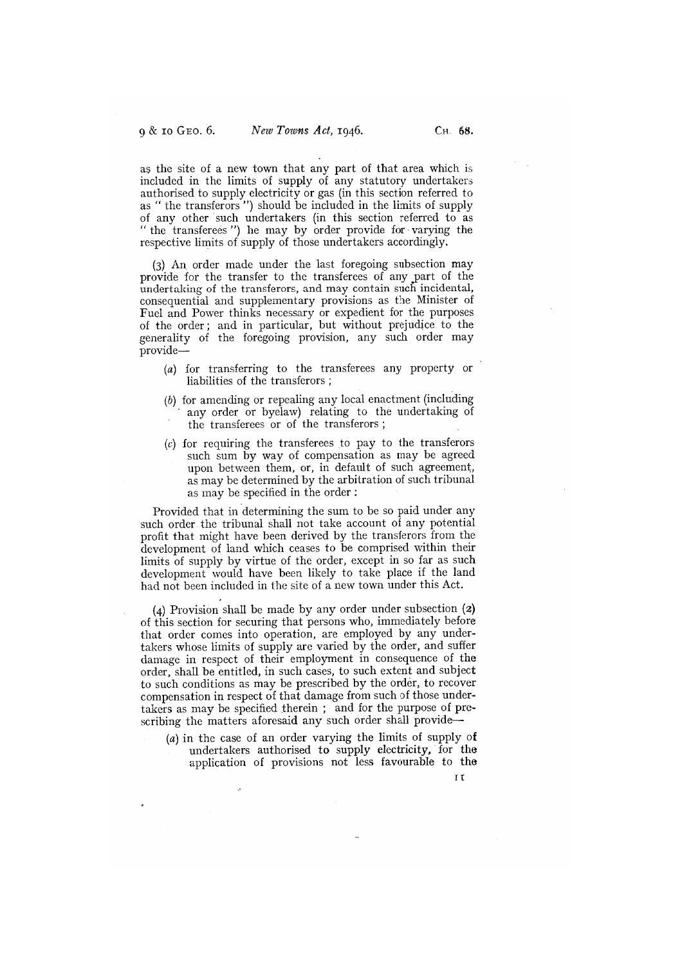as the site of a new town that any part of that area which is included in the limits of supply of any statutory undertakers authorised to supply electricity or gas (in this section referred to as " the transferors ") should be included in the limits of supply of any other such undertakers (in this section referred to as "the transferees ") he may by order provide for varying the respective limits of supply of those undertakers accordingly.

(3) An order made under the last foregoing subsection may provide for the transfer to the transferees of any \_part of the undertaking of the transferors, and may contain such incidental, consequential and supplementary provisions as the Minister of Fuel and Power thinks necessary or expedient for the purposes of the order; and in particular, but without prejudice to the generality of the foregoing provision, any such order may provide—

- $f(a)$  for transferring to the transferees any property or liabilities of the transferors;
- (b) for amending or repealing any local enactment (including any order or byelaw) relating to the undertaking of the transferees or of the transferors
- (c) for requiring the transferees to pay to the transferors such sum by way of compensation as may be agreed upon between them, or, in default of such agreement, as may be determined by the arbitration of such tribunal as may be specified in the order:

Provided that in determining the sum to be so paid under any such order the tribunal shall not take account of any potential profit that might have been derived by the transferors from the development of land which ceases to be comprised within their limits of supply by virtue of the order, except in so far as such development would have been likely to take place if the land had not been included in the site of a new town under this Act.

 $(4)$  Provision shall be made by any order under subsection  $(2)$ of this section for securing that persons who, immediately before that order comes into operation, are employed by any undertakers whose limits of supply are varied by the order, and suffer damage in respect of their employment in consequence of the order, shall be entitled, in such cases, to such extent and subject to such conditions as may be prescribed by the order, to recover compensation in respect of that damage from such of those undertakers as may be specified therein ; and for the purpose of prescribing the matters aforesaid any such order shall provide—

(a) in the case of an order varying the limits of supply of undertakers authorised to supply electricity, for the application of provisions not less favourable to the

ft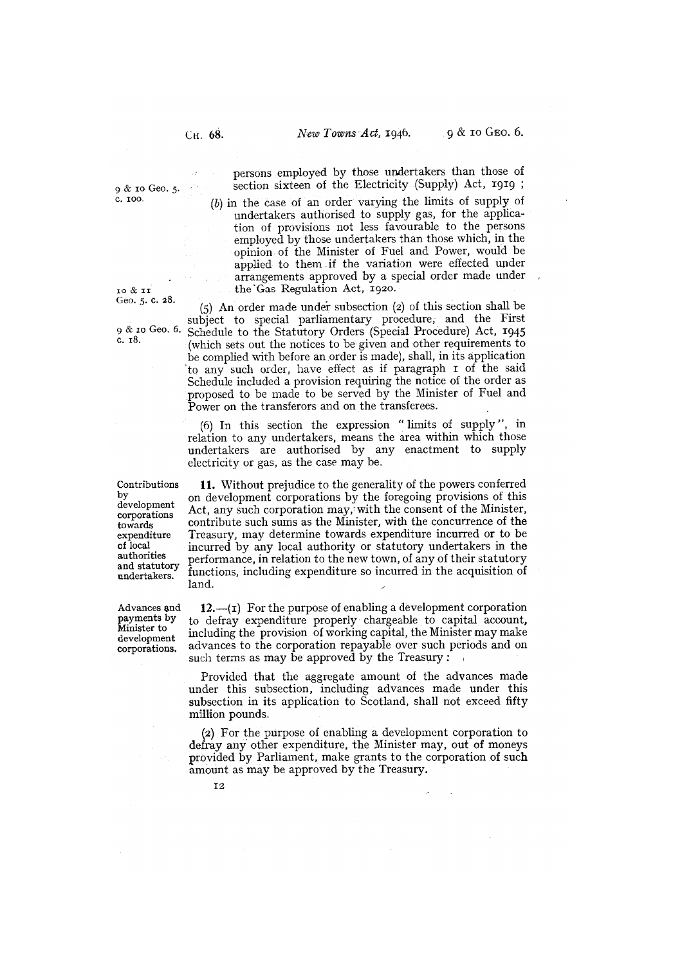Geo. 5. C. 28.

undertakers.

development corporations.

persons employed by those undertakers than those of  $9 \& \text{ro Geo. } 5.$  section sixteen of the Electricity (Supply) Act, 1919;

 $(b)$  in the case of an order varying the limits of supply of undertakers authorised to supply gas, for the application of provisions not less favourable to the persons employed by those undertakers than those which, in the opinion of the Minister of Fuel and Power, would be applied to them if the variation were effected under arrangements approved by a special order made under 10 & 11 the Gas Regulation Act, 1920.

 $(5)$  An order made under subsection  $(2)$  of this section shall be subject to special parliamentary procedure, and the First 9 & 10 Geo. 6. Schedule to the Statutory Orders (Special Procedure) Act, 1945  $x = 8.$  (which sets out the notices to be given and other requirements to be complied with before an order is made), shall, in its application to any such order, have effect as if paragraph I of the said Schedule included a provision requiring the notice of the order as proposed to be made to be served by the Minister of Fuel and Power on the transferors and on the transferees.

> (6) In this section the expression "limits of supply ", in relation to any undertakers, means the area within which those undertakers are authorised by any enactment to supply electricity or gas, as the case may be.

Contributions **11.** Without prejudice to the generality of the powers conferred by on development corporations by the foregoing provisions of this development corporations  $\text{Act.}$  any such corporations may; with the consent of the Minister, towards contribute such sums as the Minister, with the concurrence of the expenditure Treasury, may determine towards expenditure incurred or to be of local incurred by any local authority or statutory undertakers in the of local incurred by any local authority or statutory undertakers in the authorities performance, in relation to the new town, of any of their statutory<br>and statutory functions, including expenditure so incurred in the acquisition of land.

Advances and  $12$ .—(I) For the purpose of enabling a development corporation<br>payments by to defray expenditure properly chargeable to capital account,<br>Minister to including the provision of working capital, the Minister m to defray expenditure properly chargeable to capital account, including the provision of working capital, the Minister may make advances to the corporation repayable over such periods and on such terms as may be approved by the Treasury:

> Provided that the aggregate amount of the advances made under this subsection, including advances made under this subsection in its application to Scotland, shall not exceed fifty million pounds.

> (2) For the purpose of enabling a development corporation to defray any other expenditure, the Minister may, out of moneys provided by Parliament, make grants to the corporation of such amount as may be approved by the Treasury.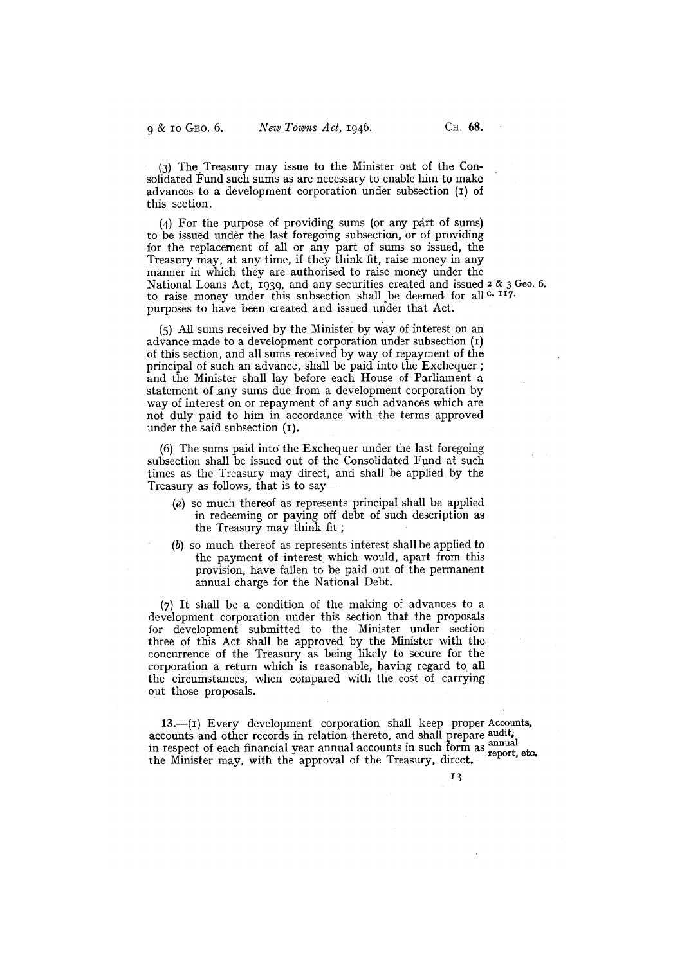$(3)$  The Treasury may issue to the Minister out of the Consolidated Fund such sums as are necessary to enable him to make advances to a development corporation under subsection (1) of this section.

(4) For the purpose of providing sums (or any part of sums) to be issued under the last foregoing subsection, or of providing for the replacement of all or any part of sums so issued, the Treasury may, at any time, if they think fit, raise money in any manner in which they are authorised to raise money under the National Loans Act, 1939, and any securities created and issued 2 & 3 Geo. 6. to raise money under this subsection shall be deemed for all c. 117. purposes to have been created and issued under that Act.

(5) All sums received by the Minister by way of interest on an advance made to a development corporation under subsection (1) of this section, and all sums received by way of repayment of the principal of such an advance, shall be paid into the Exchequer; and the Minister shall lay before each House of Parliament a statement of any sums due from a development corporation by way of interest on or repayment of any such advances which are not duly paid to him in accordance with the terms approved under the said subsection  $(I)$ .

(6) The sums paid into the Exchequer under the last foregoing subsection shall be issued out of the Consolidated Fund at such times as the Treasury may direct, and shall be applied by the Treasury as follows, that is to say—

- (a) so much thereof as represents principal shall be applied in redeeming or paying off debt of such description as the Treasury may think fit;
- (b) so much thereof as represents interest shall be applied to the payment of interest which would, apart from this provision, have fallen to be paid out of the permanent annual charge for the National Debt.

 $(7)$  It shall be a condition of the making of advances to a development corporation under this section that the proposals for development submitted to the Minister under section three of this Act shall be approved by the Minister with the concurrence of the Treasury as being likely to secure for the corporation a return which is reasonable, having regard to all the circumstances, when compared with the cost of carrying out those proposals.

13.—(i) Every development corporation shall keep proper Accounts, accounts and other records in relation thereto, and shall prepare audit, in respect of each financial year annual accounts in such form as annual<br>the Minister may, with the approval of the Treasury, direct.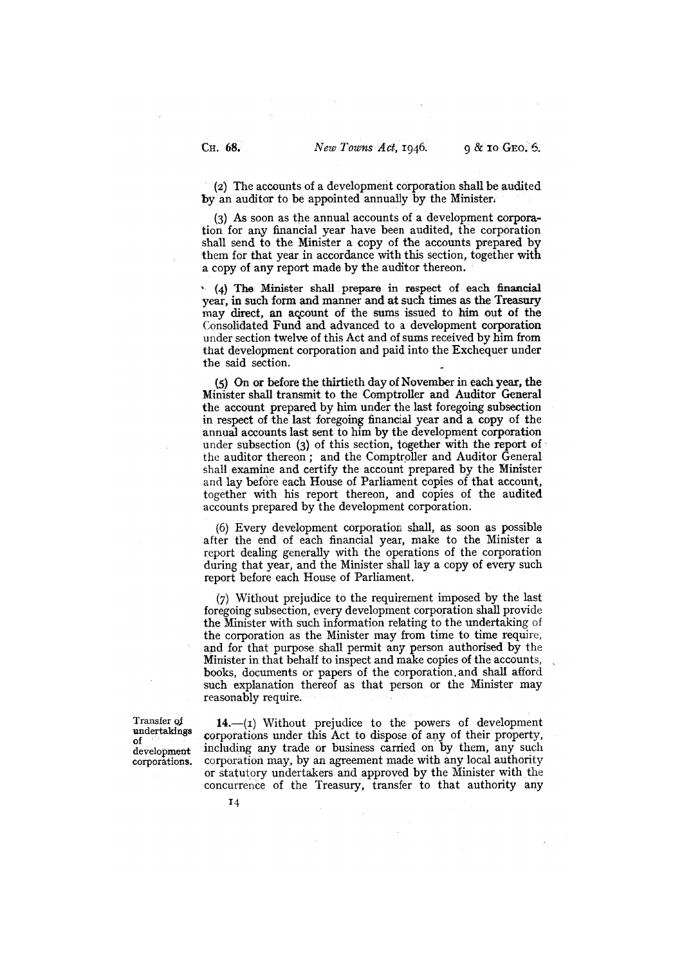(2) The accounts of a development corporation shall be audited by an auditor to be appointed annually by the Minister.

As soon as the annual accounts of a development corporation for any financial year have been audited, the corporation shall send to the Minister a copy of the accounts prepared b them for that year in accordance with this section, together with a copy of any report made by the auditor thereon.

 $(4)$  The Minister shall prepare in respect of each financial year, in such form and manner and at such times as the Treasury may direct, an account of the sums issued to him out of the Consolidated Fund and advanced to a development corporation under section twelve of this Act and of sums received by him from that development corporation and paid into the Exchequer under the said section.

(5) On or before the thirtieth day of November in each year, the Minister shall transmit to the Comptroller and Auditor General the account prepared by him under the last foregoing subsection in respect of the last foregoing financial year and a copy of the annual accounts last sent to him by the development corporation under subsection (3) of this section, together with the report of the auditor thereon; and the Comptroller and Auditor General shall examine and certify the account prepared by the Minister and lay before each House of Parliament copies of that account, together with his report thereon, and copies of the audited accounts prepared by the development corporation.

(6) Every development corporation shall, as soon as possible after the end of each financial year, make to the Minister a report dealing generally with the operations of the corporation during that year, and the Minister shall lay a copy of every such report before each House of Parliament.

Without prejudice to the requirement imposed by the last foregoing subsection, every development corporation shall provide the Minister with such information relating to the undertaking of the corporation as the Minister may from time to time require, and for that purpose shall permit any person authorised by the Minister in that behalf to inspect and make copies of the accounts, books, documents or papers of the corporation. and shall afford such explanation thereof as that person or the Minister may reasonably require.

Transfer of  $14$ .—(1) Without prejudice to the powers of development undertakings corporations under this Act to dispose of any of their property, development including any trade or business carried on by them, any such corporations. corporation may, by an agreement made with any local authority or statutory undertakers and approved by the Minister with the concurrence of the Treasury, transfer to that authority any

<sup>&#</sup>x27;4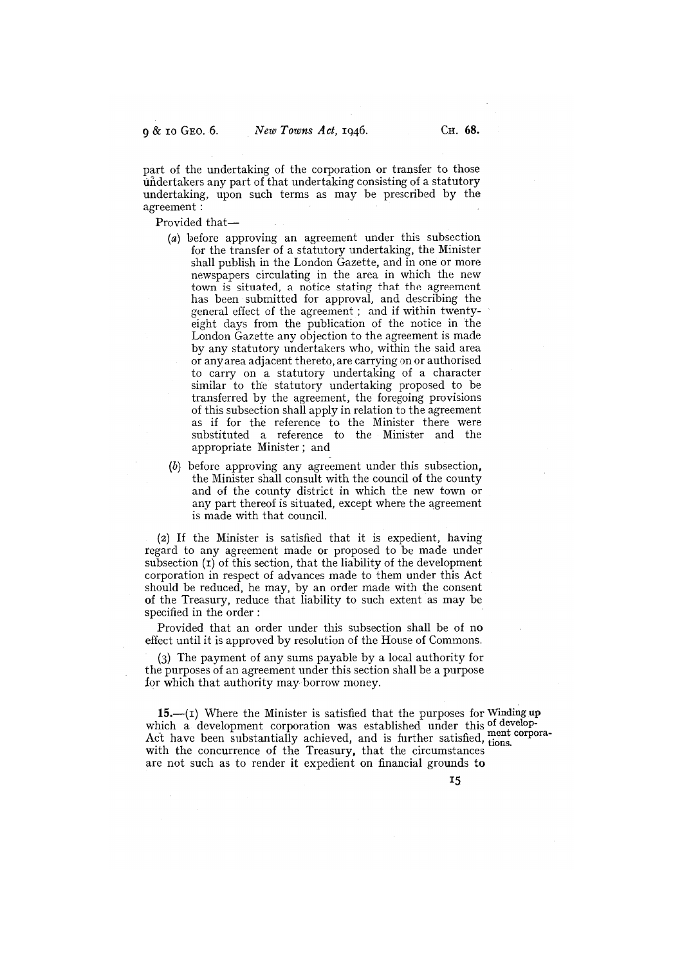part of the undertaking of the corporation or transfer to those undertakers any part of that undertaking consisting of a statutory undertaking, upon such terms as may be prescribed by the agreement:

Provided that—

- (a) before approving an agreement under this subsection for the transfer of a statutory undertaking, the Minister shall publish in the London Gazette, and in one or more newspapers circulating in the area in which the new town is situated, a notice stating that the agreement has been submitted for approval, and describing the general effect of the agreement ; and if within twentyeight days from the publication of the notice in the London Gazette any objection to the agreement is made by any statutory undertakers who, within the said area or any area adjacent thereto, are carrying on or authorised to carry on a statutory undertaking of a character similar to the statutory undertaking proposed to be transferred by the agreement, the foregoing provisions of this subsection shall apply in relation to the agreement as if for the reference to the Minister there were substituted a reference to the Minister and the appropriate Minister; and
- (b) before approving any agreement under this subsection, the Minister shall consult with the council of the county and of the county district in which the new town or any part thereof is situated, except where the agreement is made with that council.

(2) If the Minister is satisfied that it is expedient, having regard to any agreement made or proposed to be made under subsection  $(t)$  of this section, that the liability of the development corporation in respect of advances made to them under this Act should be reduced, he may, by an order made with the consent of the Treasury, reduce that liability to such extent as may be specified in the order

Provided that an order under this subsection shall be of no effect until it is approved by resolution of the House of Commons.

(3) The payment of any sums payable by a local authority for the purposes of an agreement under this section shall be a purpose for which that authority may borrow money.

15.—(i) Where the Minister is satisfied that the purposes for Winding up which a development corporation was established under this of develop-Act have been substantially achieved, and is further satisfied, ment corpora-<br>with the concurrence of the Treasury, that the circumstance with the concurrence of the Treasury, that the circumstances are not such as to render it expedient on financial grounds to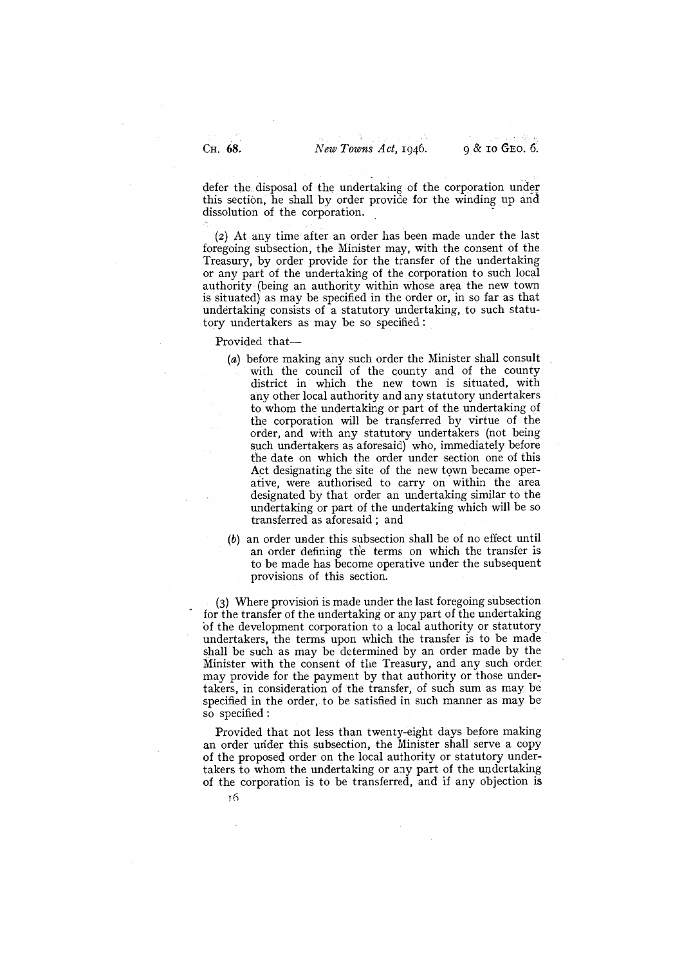defer the disposal of the undertaking of the corporation under this section, he shall by order provide for the winding up and dissolution of the corporation.

(2) At any time after an order has been made under the last foregoing subsection, the Minister may, with the consent of the Treasury, by order provide for the transfer of the undertaking or any part of the undertaking of the corporation to such local authority (being an authority within whose area the new town is situated) as may be specified in the order or, in so far as that undertaking consists of a statutory undertaking, to such statutory undertakers as may be so specified:

Provided that—

- (a) before making any such order the Minister shall consult with the council of the county and of the county district in which the new town is situated, with any other local authority and any statutory undertakers to whom the undertaking or part of the undertaking of the corporation will be transferred by virtue of the order, and with any statutory undertakers (not being such undertakers as aforesaid) who, immediately before the date on which the order under section one of this Act designating the site of the new town became operative, were authorised to carry on within the area designated by that order an undertaking similar to the undertaking or part of the undertaking which will be so transferred as aforesaid; and
- (b) an order under this subsection shall be of no effect until an order defining the terms on which the transfer is to be made has become operative under the subsequent provisions of this section.

(3) Where provision is made under the last foregoing subsection for the transfer of the undertaking or any part of the undertaking 'of the development corporation to a local authority or statutory undertakers, the terms upon which the transfer is to be made shall be such as may be determined by an order made by the Minister with the consent of the Treasury, and any such order, may provide for the payment by that authority or those undertakers, in consideration of the transfer, of such sum as may be specified in the order, to be satisfied in such manner as may be so specified:

Provided that not less than twenty-eight days before making an order under this subsection, the Minister shall serve a copy of the propose4 order on the local authority or statutory undertakers to whom the undertaking or any part of the undertaking of the corporation is to be transferred, and if any objection is

T6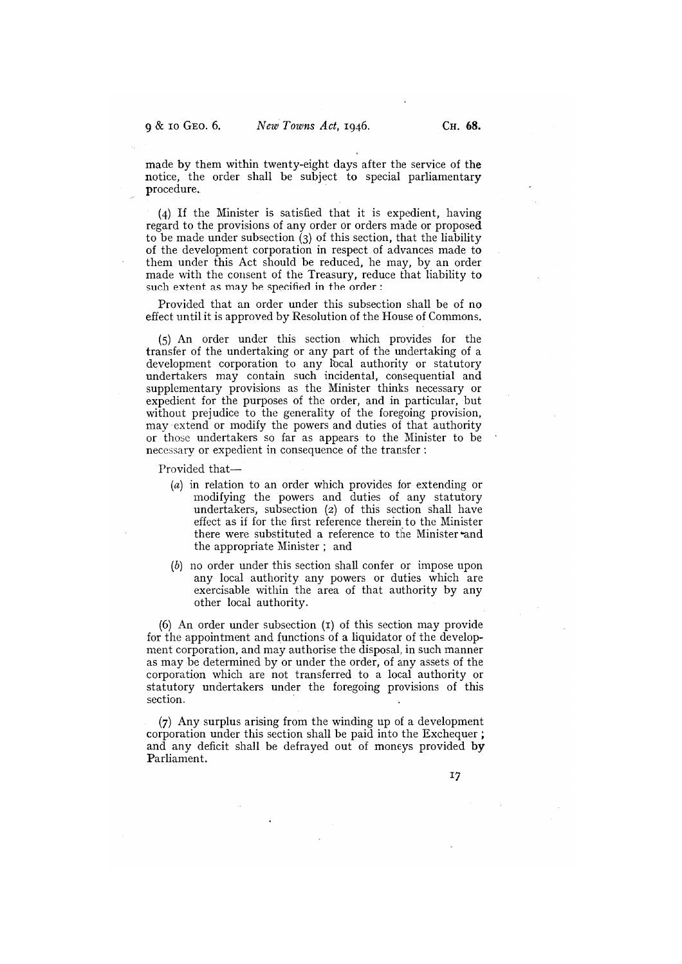made by them within twenty-eight days after the service of the notice, the order shall be subject to special parliamentary procedure.

If the Minister is satisfied that it is expedient, having regard to the provisions of any order or orders made or proposed to be made under subsection  $\zeta$  of this section, that the liability of the development corporation in respect of advances made to them under this Act should be reduced, he may, by an order made with the consent of the Treasury, reduce that liability to such extent as may be specified in the order:

Provided that an order under this subsection shall be of no effect until it is approved by Resolution of the House of Commons.

An order under this section which provides for the transfer of the undertaking or any part of the undertaking of a development corporation to any local authority or statutory undertakers may contain such incidental, consequential and supplementary provisions as the Minister thinks necessary or expedient for the purposes of the order, and in particular, but without prejudice to the generality of the foregoing provision, may extend or modify the powers and duties of that authority or those undertakers so far as appears to the Minister to be necessary or expedient in consequence of the transfer

Provided that—

- (a) in relation to an order which provides for extending or modifying the powers and duties of any statutory undertakers, subsection (2) of this section shall have effect as if for the first reference therein to the Minister there were substituted a reference to the Minister and the appropriate Minister ; and
- (b) no order under this section shall confer or impose upon any local authority any powers or duties which are exercisable within the area of that authority by any other local authority.

 $(6)$  An order under subsection  $(1)$  of this section may provide for the appointment and functions of a liquidator of the development corporation, and may authorise the disposal, in such manner as may be determined by or under the order, of any assets of the corporation which are not transferred to a local authority or statutory undertakers under the foregoing provisions of this section.

 $(7)$  Any surplus arising from the winding up of a development corporation under this section shall be paid into the Exchequer; and any deficit shall be defrayed out of moneys provided by Parliament.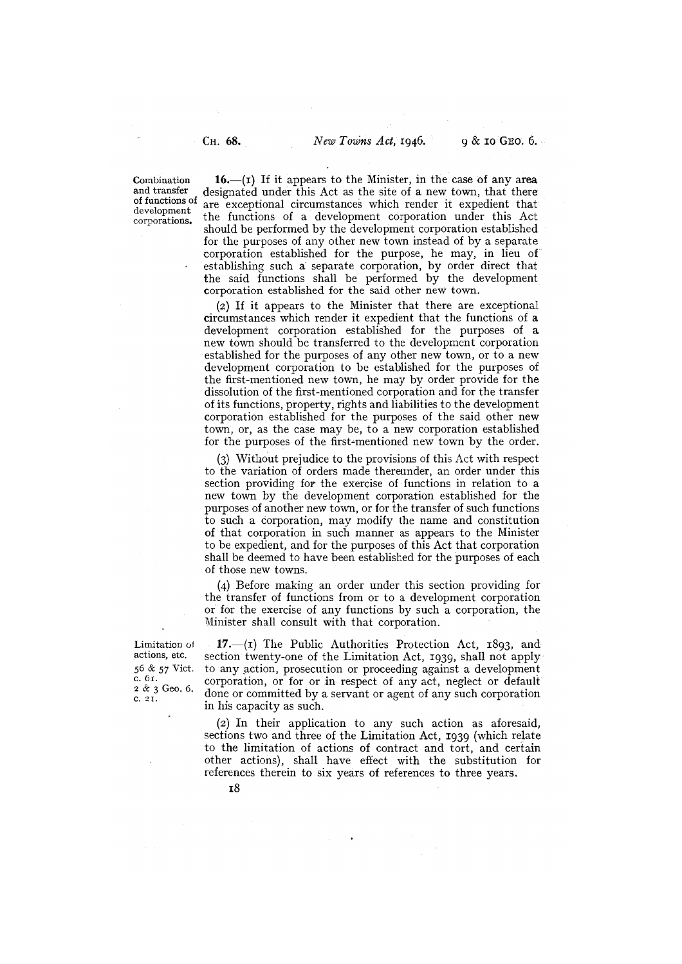corporations.

Combination  $16.$ —(i) If it appears to the Minister, in the case of any area and transfer designated under this Act as the site of a new town, that there and transfer designated under this Act as the site of a new town, that there of functions of  $\alpha$  are expected a incurrent page. which reader it expedient that of functions of are exceptional circumstances which render it expedient that the functions of a development corporation under this Act should be performed by the development corporation established for the purposes of any other new town instead of by a separate corporation established for the purpose, he may, in lieu of establishing such a separate corporation, by order direct that the said functions shall be performed by the development corporation established for the said other new town.

> (2) If it appears to the Minister that there are exceptional circumstances which render it expedient that the functions of a development corporation established for the purposes of a new town should be transferred to the development corporation established for the purposes of any other new town, or to a new development corporation to be established for the purposes of the first-mentioned new town, he may by order provide for the dissolution of the first-mentioned corporation and for the transfer of its functions, property, rights and liabilities to the development corporation established for the purposes of the said other new town, or, as the case may be, to a new corporation established for the purposes of the first-mentioned new town by the order.

> Without prejudice to the provisions of this Act with respect to the variation of orders made thereunder, an order under this section providing for the exercise of functions in relation to a new town by the development corporation established for the purposes of another new town, or for the transfer of such functions to such a corporation, may modify the name and constitution of that corporation in such manner as appears to the Minister to be expedient, and for the purposes of this Act that corporation shall be deemed to have been established for the purposes of each of those new towns.

> Before making an order under this section providing for the transfer of functions from or to a development corporation or for the exercise of any functions by such a corporation, the Minister shall consult with that corporation.

c. 61.  $2 & 3$  Geo. 6.  $C. 2I.$ 

Limitation of 17.—(I) The Public Authorities Protection Act, 1893, and actions, etc. section twenty-one of the Limitation Act, 1939, shall not apply actions, etc. section twenty-one of the Limitation Act, 1939, shall not apply  $56 \& 57$  Vict. to any action, prosecution or proceeding against a development to any action, prosecution or proceeding against a development corporation, or for or in respect of any act, neglect or default done or committed by a servant or agent of any such corporation in his capacity as such.

> (2) In their application to any such action as aforesaid, sections two and three of the Limitation Act, 1939 (which relate to the limitation of actions of contract and tort, and certain other actions), shall have effect with the substitution for references therein to six years of references to three years.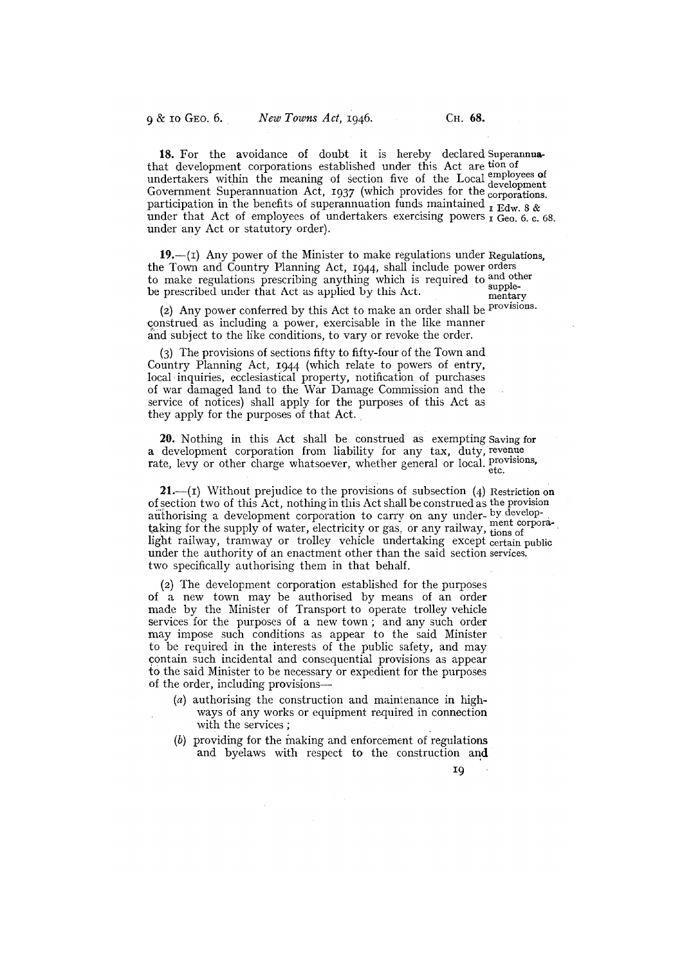18. For the avoidance of doubt it is hereby declared Superannuathat development corporations established under this Act are tion of and the corporation of section five of the Local employees of undertakers within the meaning of section five of the Local employees of Government Superannuation Act, 1937 (which provides for the corporations. participation in the benefits of superannuation funds maintained  $\frac{1}{L}$  Edw 8 & under that Act of employees of undertakers exercising powers  $\overrightarrow{I}$  Geo. 6. c. 68. under any Act or statutory order).

19.— $(i)$  Any power of the Minister to make regulations under Regulations, the Town and Country Planning Act, 1944, shall include power orders to make regulations prescribing anything which is required to and other be prescribed under that Act as applied by this Act.

(2) Any power conferred by this Act to make an order shall be provisions. construed as including a power, exercisable in the like manner and subject to the like conditions, to vary or revoke the order.

(3) The provisions of sections fifty to fifty-four of the Town and Country Planning Act, 1944 (which relate to powers of entry, local inquiries, ecclesiastical property, notification of purchases of war damaged land to the War Damage Commission and the service of notices) shall apply for the purposes of this Act as they apply for the purposes of that Act.

20. Nothing in this Act shall be construed as exempting Saving for a development corporation from liability for any tax, duty, revenue rate, levy or other charge whatsoever, whether general or local. **Provisions**,

**21.**—(I) Without prejudice to the provisions of subsection  $(4)$  Restriction on of section two of this Act, nothing in this Act shall be construed as the provision authorising a development corporation to carry on any under- by developtaking for the supply of water, electricity or gas, or any railway, tions of light railway, tramway or trolley vehicle undertaking except certain public under the authority of an enactment other than the said section services. two specifically authorising them in that behalf.

(2) The development corporation established for the purposes of a new town may be authorised by means of an order made by the Minister of Transport to operate trolley vehicle services for the purposes of a new town; and any such order may impose such conditions as appear to the said Minister to be required in the interests of the public safety, and may contain such incidental and consequential provisions as appear to the said Minister to be necessary or expedient for the purposes of the order, including provisions—

- (a) authorising the construction and maintenance in highways of any works or equipment required in connection with the services; -
- (b) providing for the making and enforcement of regulations and byelaws with respect to the construction and

 $\sim$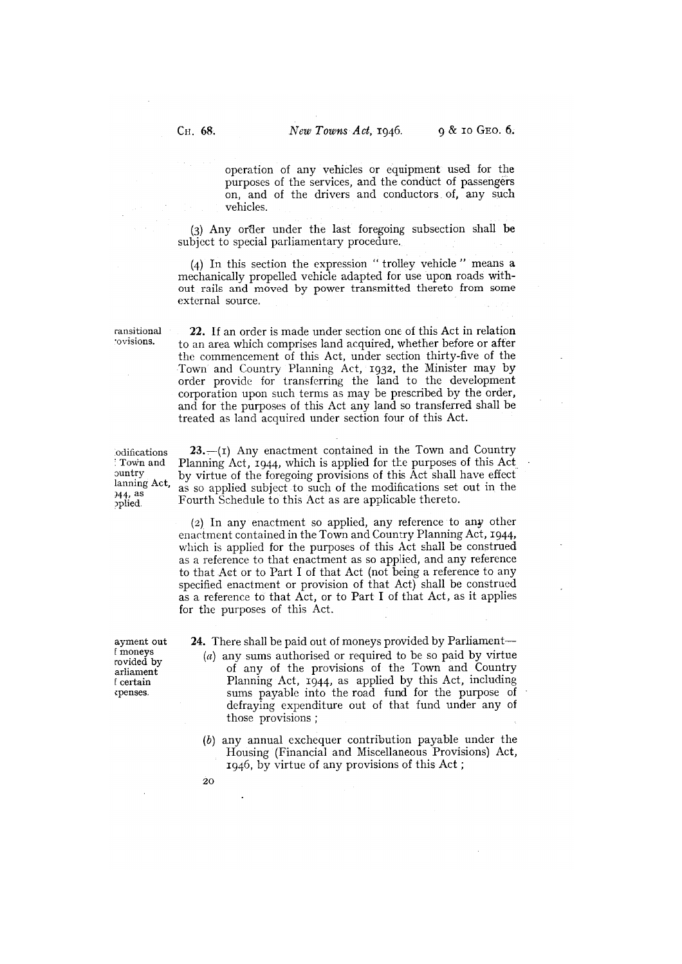operation of any vehicles or equipment used for the purposes of the services, and the conduct of passengers on, and of the drivers and conductors of, any such vehicles.

(3) Any under the last foregoing subsection shall be subject to special parliamentary procedure.

 $(4)$  In this section the expression "trolley vehicle" means a mechanically propelled vehicle adapted for use upon roads without rails and moved by power transmitted thereto from some external source.

ransitional 22. If an order is made under section one of this Act in relation to visions. to an area which comprises land acquired, whether before or after the commencement of this Act, under section thirty-five of the Town and Country Planning Act, 1932, the Minister may by order provide for transferring the land to the development corporation upon such terms as may be prescribed by the order, and for the purposes of this Act any land so transferred shall be treated as land acquired under section four of this Act.

odifications **23.**—(I) Any enactment contained in the Town and Country Town and Planning Act, 1944, which is applied for the purposes of this Act Town and Planning Act, 1944, which is applied for the purposes of this Act by virtue of the foregoing provisions of this Act shall have effect  $\lim_{n \to \infty}$  Act, as so applied subject to such of the modifications set out in the as so applied subject to such of the modifications set out in the <sup>944, as</sup> as so applied subject to such of the modifications set oplicable. Fourth Schedule to this Act as are applicable thereto.

> (2) In any enactment so applied, any reference to any other enactment contained in the Town and Country Planning Act, 1944, which is applied for the purposes of this Act shall be construed as a reference to that enactment as so applied, and any reference to that Act or to Part I of that Act (not being a reference to any specified enactment or provision of that Act) shall be construed as a reference to that Act, or to Part I of that Act, as it applies for the purposes of this Act.

cpenses.

ayment out 24. There shall be paid out of moneys provided by Parliament—<br>f moneys  $\frac{24}{(a)}$  any sums authorised or required to be so paid by virtue (a) any sums authorised or required to be so paid by virtue rovided by<br>
arliament of any of the provisions of the Town and Country<br>
feertain Planning Act, 1944, as applied by this Act, including Planning Act,  $1944$ , as applied by this Act, including sums payable into the road fund for the purpose of defraying expenditure out of that fund under any of those provisions;

> (b) any annual exchequer contribution payable under the Housing (Financial and Miscellaneous Provisions) Act, 1946, by virtue of any provisions of this Act;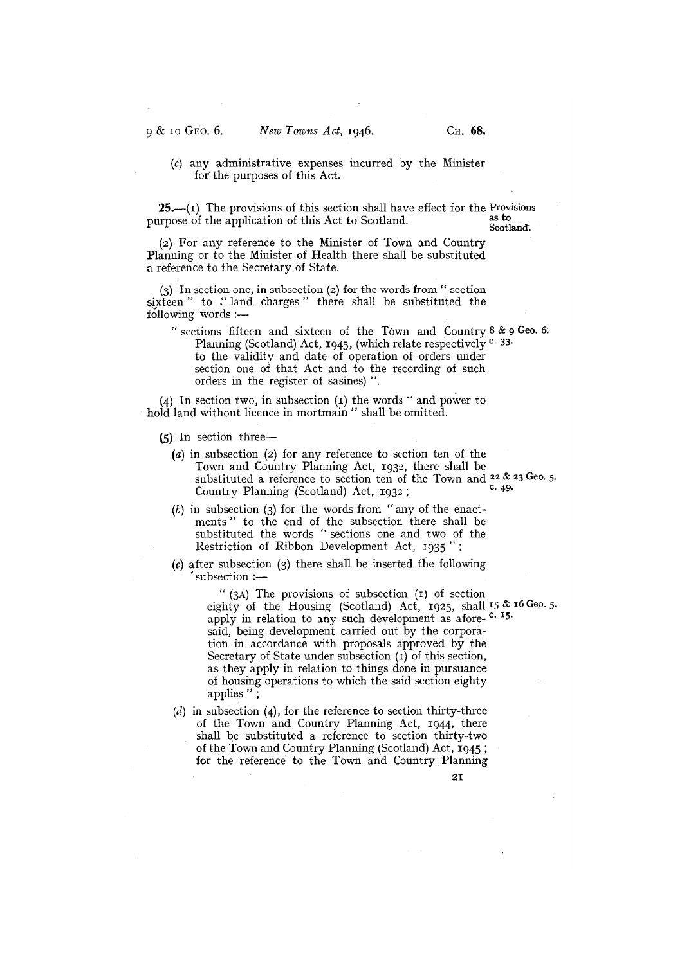# (c) any administrative expenses incurred by the Minister for the purposes of this Act.

25.—(I) The provisions of this section shall have effect for the Provisions represents the equilibrium of this Act to Socilar d purpose of the application of this Act to Scotland.

Scotland.

(2) For any reference to the Minister of Town and Country Planning or to the Minister of Health there shall be substituted a reference to the Secretary of State.

In section one, in subsection (2) for the words from" section sixteen" to "land charges" there shall be substituted the following words :—

" sections fifteen and sixteen of the Town and Country  $8 \& 9$  Geo. 6. Planning (Scotland) Act, 1945, (which relate respectively  $c$ . 33. to the validity and date of operation of orders under section one of that Act and to the recording of such orders in the register of sasines) ".

 $(4)$  In section two, in subsection  $(1)$  the words " and power to hold land without licence in mortmain" shall be omitted.

- (5) In section three—
	- (a) in subsection (2) for any reference to section ten of the Town and Country Planning Act, 1932, there shall be substituted a reference to section ten of the Town and  $22 \& 23$  Geo. 5. Country Planning (Scotland) Act, 1932;
	- $(b)$  in subsection (3) for the words from "any of the enactments" to the end of the subsection there shall be substituted the words "sections one and two of the Restriction of Ribbon Development Act, 1935";
	- $(c)$  after subsection  $(3)$  there shall be inserted the following subsection :-

 $''$  (3A) The provisions of subsection (1) of section eighty of the Housing (Scotland) Act, 1925, shall 15 & 16 Geo. 5. apply in relation to any such development as afore-<sup>c. 15.</sup> said, being development carried out by the corporation in accordance with proposals approved by the Secretary of State under subsection  $(\overline{\mathbf{i}})$  of this section, as they apply in relation to things done in pursuance of housing operations to which the said section eighty applies ";

 $(d)$  in subsection  $(4)$ , for the reference to section thirty-three of the Town and Country Planning Act, 1944, there shall be substituted a reference to section thirty-two of the Town and Country Planning (Scotland) Act, for the reference to the Town and Country Planning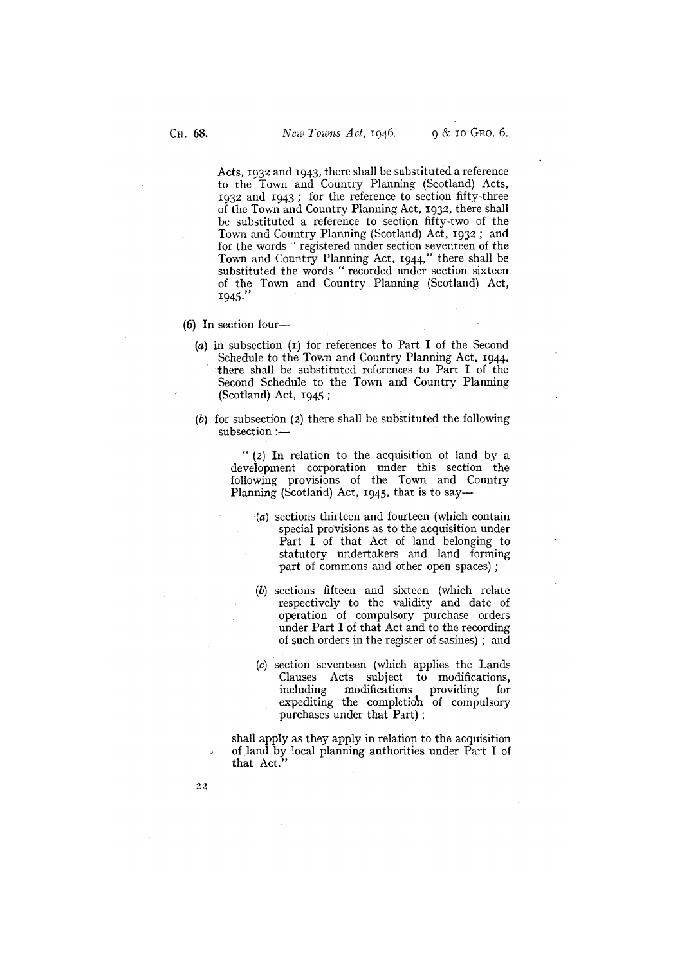Acts, 1932 and 1943, there shall be substituted a reference to the Town and Country Planning (Scotland) Acts,  $1932$  and  $1943$ ; for the reference to section fifty-three of the Town and Country Planning Act, 1932, there shall be substituted a reference to section fifty-two of the Town and Country Planning (Scotland) Act, 1932; and for the words " registered under section seventeen of the Town and Country Planning Act, 1944," there shall be substituted the words "recorded under section sixteen of the Town and Country Planning (Scotland) Act, 1945."

(6) In section four—

- (a) in subsection  $(I)$  for references to Part I of the Second Schedule to the Town and Country Planning Act, 1944, there shall be substituted references to Part I of the Second Schedule to the Town and Country Planning (Scotland) Act, 1945;
- (b) for subsection (2) there shall be substituted the following subsection :—

 $''$  (2) In relation to the acquisition of land by a development corporation under this section the following provisions of the Town and Country Planning (Scotland) Act, 1945, that is to say—

- (a) sections thirteen and fourteen (which contain special provisions as to the acquisition under Part I of that Act of land belonging to statutory undertakers and land forming part of commons and other open spaces)
- (b) sections fifteen and sixteen (which relate respectively to the validity and date of operation of compulsory purchase orders under Part I of that Act and to the recording of such orders in the register of sasines) ; and
- (c) section seventeen (which applies the Lands Clauses Acts subject to modifications, including modifications providing for expediting the completion of compulsory purchases under that Part);

shall apply as they apply in relation to the acquisition of land by local planning authorities under Part I of that Act.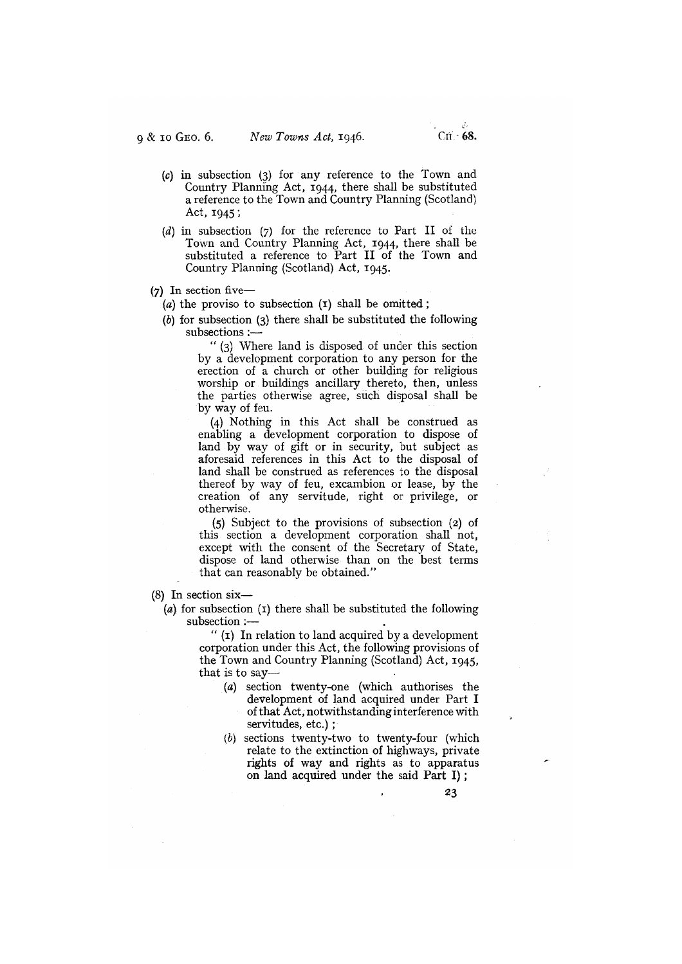- (c) in subsection (3) for any reference to the Town and Country Planning Act, 1944, there shall be substituted a reference to the Town and Country Planning (Scotland) Act, 1945;
- (d) in subsection (7) for the reference to Part II of the Town and Country Planning Act, 1944, there shall be substituted a reference to Part II of the Town and Country Planning (Scotland) Act, 1945.
- $(7)$  In section five—

(a) the proviso to subsection  $(I)$  shall be omitted;

(b) for subsection (3) there shall be substituted the following subsections :-

Where land is disposed of under this section by a development corporation to any person for the erection of a church or other building for religious worship or buildings ancillary thereto, then, unless the parties otherwise agree, such disposal shall be by way of feu.

(4) Nothing in this Act shall be construed as enabling a development corporation to dispose of land by way of gift or in security, but subject as aforesaid references in this Act to the disposal of land shall be construed as references to the disposal thereof by way of feu, excambion or lease, by the creation of any servitude, right or privilege, or otherwise.

(5) Subject to the provisions of subsection (z) of this section a development corporation shall not, except with the consent of the Secretary of State, dispose of land otherwise than on the best terms that can reasonably be obtained."

(8) In section six—

(a) for subsection  $(I)$  there shall be substituted the following subsection :—

> " $(i)$  In relation to land acquired by a development corporation under this Act, the following provisions of the Town and Country Planning (Scotland) Act, 1945, that is to say—

- (a) section twenty-one (which authorises the development of land acquired under Part I of that Act, notwithstanding interference with servitudes, etc.);
- (b) sections twenty-two to twenty-four (which relate to the extinction of highways, private rights of way and rights as to apparatus on land acquired under the said Part I);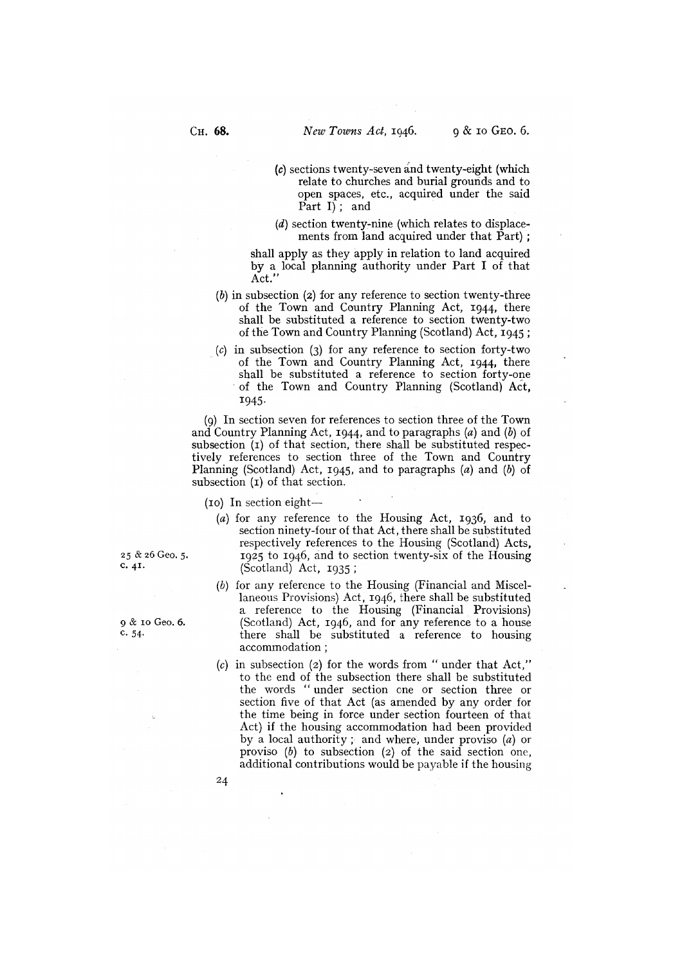- $(c)$  sections twenty-seven and twenty-eight (which relate to churches and burial grounds and to open spaces, etc., acquired under the said Part  $I$ ; and
- $(d)$  section twenty-nine (which relates to displacements from land acquired under that Part);

shall apply as they apply in relation to land acquired by a local planning authority under Part I of that Act.

- $(b)$  in subsection (2) for any reference to section twenty-three of the Town and Country Planning Act, 1944, there shall be substituted a reference to section twenty-two of the Town and Country Planning (Scotland) Act, 1945;
- (c) in subsection (3) for any reference to section forty-two of the Town and Country Planning Act, 1944, there shall be substituted a reference to section forty-one of the Town and Country Planning (Scotland) Act, 1945.

In section seven for references to section three of the Town and Country Planning Act, 1944, and to paragraphs (a) and (b) of subsection (I) of that section, there shall be substituted respectively references to section three of the Town and Country Planning (Scotland) Act, 1945, and to paragraphs  $(a)$  and  $(b)$  of subsection (1) of that section.

(io) In section eight—

- (a) for any reference to the Housing Act, 1936, and to section ninety-four of that Act, there shall be substituted respectively references to the Housing (Scotland) Acts, 25 & 26 Geo. 5. 1925 to 1946, and to section twenty-six of the Housing<br>c. 41. (Scotland) Act 1925  $(Scolland)$  Act,  $1935$ ;
- (b) for any reference to the Housing (Financial and Miscellaneous Provisions) Act, 1946, there shall be substituted a reference to the Housing (Financial Provisions) 9 & 10 Geo. 6. (Scotland) Act, 1946, and for any reference to a house<br>c. 54. there shall be substituted a reference to housing there shall be substituted a reference to housing accommodation;
	- (c) in subsection (2) for the words from "under that Act," to the end of the subsection there shall be substituted the words " under section one or section three or section five of that Act (as amended by any order for the time being in force under section fourteen of that Act) if the housing accommodation had been provided by a local authority ; and where, under proviso (a) or proviso (b) to subsection (2) of the said section one, additional contributions would be payable if the housing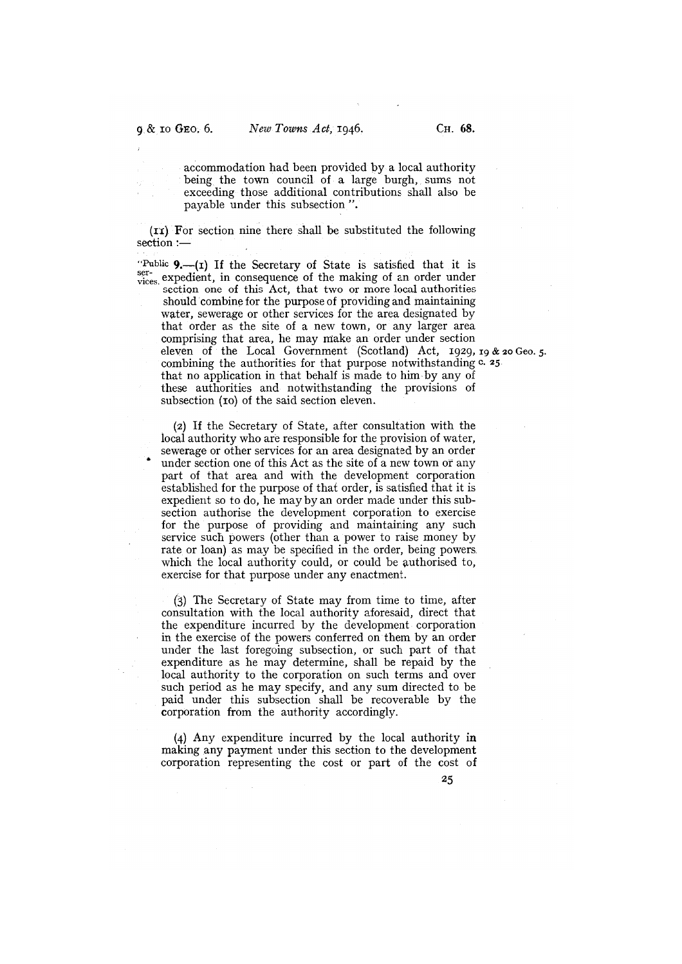accommodation had been provided by a local authority being the town council of a large burgh, sums not exceeding those additional contributions shall also be payable under this subsection ".

(II). For section nine there shall be substituted the following section :-

"Public  $9$ .- $(i)$  If the Secretary of State is satisfied that it is ser-<br>vices expedient, in consequence of the making of an order under section one of this Act, that two or more local authorities should combine for the purpose of providing and maintaining water, sewerage or other services for the area designated by that order as the site of a new town, or any larger area comprising that area, he may make an order under section eleven of the Local Government (Scotland) Act,  $1929, 19 & 20$  Geo. 5. combining the authorities for that purpose notwithstanding  $c$ . 25. that no application in that behalf is made to him by any of these authorities and notwithstanding the provisions of subsection (10) of the said section eleven.

(2) If the Secretary of State, after consultation with the local authority who are responsible for the provision of water, sewerage or other services for an area designated by an order under section one of this Act as the site of a new town or any part of that area and with the development corporation established for the purpose of that order, is satisfied that it is expedient so to do, he may by an order made under this subsection authorise the development corporation to exercise for the purpose of providing and maintaining any such service such powers (other than a power to raise money by rate or loan) as may be specified in the order, being powers. which the local authority could, or could be authorised to, exercise for that purpose under any enactment.

 $(3)$  The Secretary of State may from time to time, after consultation with the local authority aforesaid, direct that the expenditure incurred by the development corporation in the exercise of the powers conferred on them by an order under the last foregoing subsection, or such part of that expenditure as he may determine, shall be repaid by the local authority to the corporation on such terms and over such period as he may specify, and any sum directed to be paid under this subsection shall be recoverable by the corporation from the authority accordingly.

(4) Any expenditure incurred by the local authority in making any payment under this section to the development corporation representing the cost or part of the cost of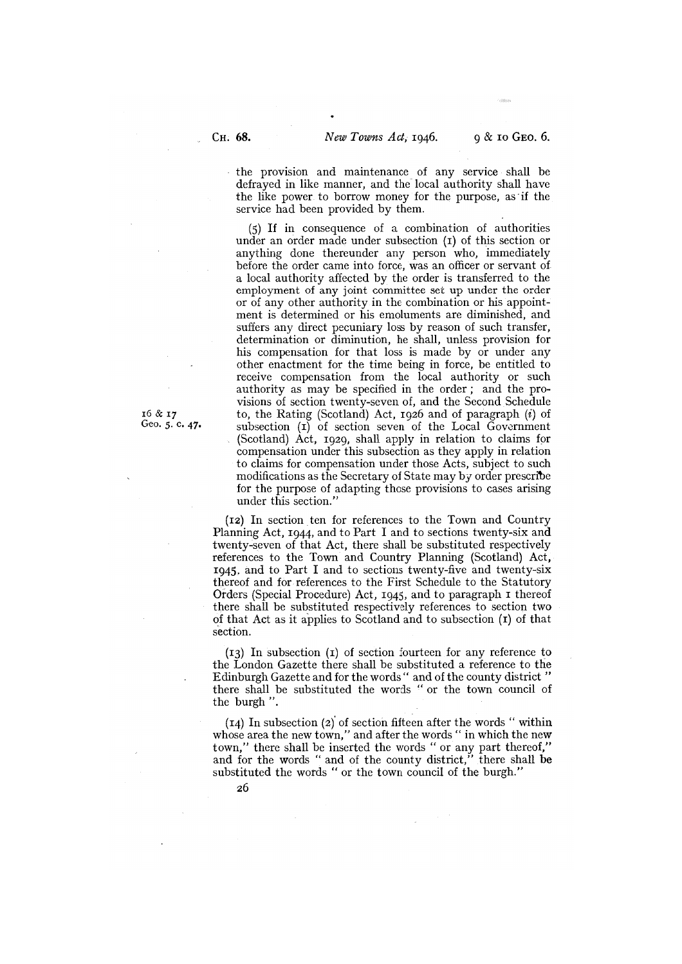the provision and maintenance of any service shall be defrayed in like manner, and the local authority shall have the like power to borrow money for the purpose, as 'if the service had been provided by them.

(5) If in consequence of a combination of authorities under an order made under subsection (1) of this section or anything done thereunder any person who, immediately before the order came into force, was an officer or servant of a local authority affected by the order is transferred to the employment of any joint committee set up under the order or of any other authority in the combination or his appointment is determined or his emoluments are diminished, and suffers any direct pecuniary loss by reason of such transfer, determination or diminution, he shall, unless provision for his compensation for that loss is made by or under any other enactment for the time being in force, be entitled to receive compensation from the local authority or such authority as may be specified in the order; and the provisions of section twenty-seven of, and the Second Schedule 16  $\&$  17 to, the Rating (Scotland) Act, 1926 and of paragraph (*i*) of Geo. 5. c. 47. Subsection (1) of section seven of the Local Government subsection  $(I)$  of section seven of the Local Government (Scotland) Act, 1929, shall apply in relation to claims for compensation under this subsection as they apply in relation to claims for compensation under those Acts, subject to such modifications as the Secretary of State may by order prescribe for the purpose of adapting those provisions to cases arising under this section."

> (iz) In section ten for references to the Town and Country Planning Act, 1944, and to Part I and to sections twenty-six and twenty-seven of that Act, there shall be substituted respectively references to the Town and Country Planning (Scotland) Act, 1945. and to Part I and to sections twenty-five and twenty-six thereof and for references to the First Schedule to the Statutory Orders (Special Procedure) Act, 1945, and to paragraph i thereof there shall be substituted respectively references to section two of that Act as it applies to Scotland and to subsection  $(I)$  of that section.

> $(13)$  In subsection  $(1)$  of section fourteen for any reference to the London Gazette there shall be substituted a reference to the Edinburgh Gazette and for the words " and of the county district" there shall be substituted the words " or the town council of the burgh ".

> $(I_4)$  In subsection (2) of section fifteen after the words " within whose area the new town," and after the words " in which the new town," there shall be inserted the words " or any part thereof," and for the words " and of the county district," there shall be substituted the words "or the town council of the burgh."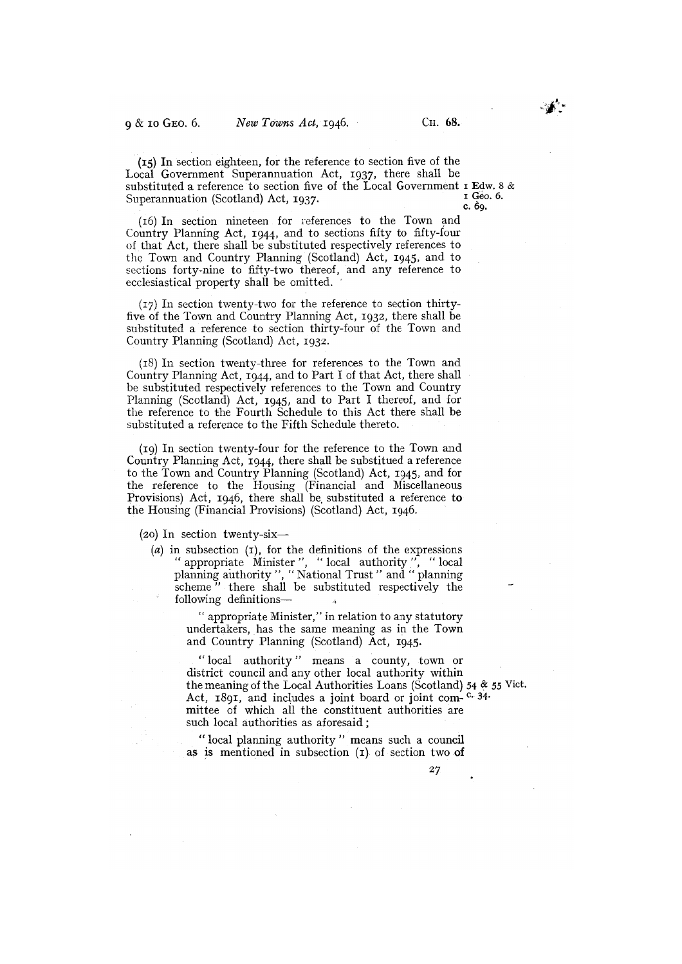(15) In section eighteen, for the reference to section five of the Local Government Superannuation Act, 1937, there shall be substituted a reference to section five of the Local Government  $\mathbf{r}$  Edw. 8 & Superannuation (Scotland) Act  $\mathbf{r}$  027 Superannuation (Scotland) Act, 1937.

(16) In section nineteen for references to the Town and Country Planning Act, 1944, and to sections fifty to fifty-four of that Act, there shall be substituted respectively references to the Town and Country Planning (Scotland) Act, 1945, and to sections forty-nine to fifty-two thereof, and any reference to ecclesiastical property shall be omitted.

(17) In section twenty-two for the reference to section thirtyfive of the Town and Country Planning Act, 1932, there shall be substituted a reference to section thirty-four of the Town and Country Planning (Scotland) Act, 1932.

(i8) In section twenty-three for references to the Town and Country Planning Act, 1944, and to Part I of that Act, there shall be substituted respectively references to the Town and Country Planning (Scotland) Act, 1945, and to Part I thereof, and for the reference to the Fourth Schedule to this Act there shall be substituted a reference to the Fifth Schedule thereto.

(19) In section twenty-four for the reference to the Town and Country Planning Act, 1944, there shall be substitued a reference to the Town and Country Planning (Scotland) Act, 1945, and for the reference to the Housing (Financial and Miscellaneous Provisions) Act, 1946, there shall be substituted a reference to the Housing (Financial Provisions) (Scotland) Act, 1946.

(20) In section twenty-six—

 $(a)$  in subsection  $(1)$ , for the definitions of the expressions appropriate Minister", "local authority", "local planning authority", "National Trust" and "planning scheme" there shall be substituted respectively the following definitions—

> "appropriate Minister," in relation to any statutory undertakers, has the same meaning as in the Town and Country Planning (Scotland) Act, 1945.

"local authority" means a county, town or district council and any other local authority within the meaning of the Local Authorities Loans (Scotland) 54 & 55 Vict. Act, 1891, and includes a joint board or joint com-<sup>c.</sup> 34. mittee of which all the constituent authorities are such local authorities as aforesaid;

"local planning authority" means such a council as is mentioned in subsection  $(I)$  of section two of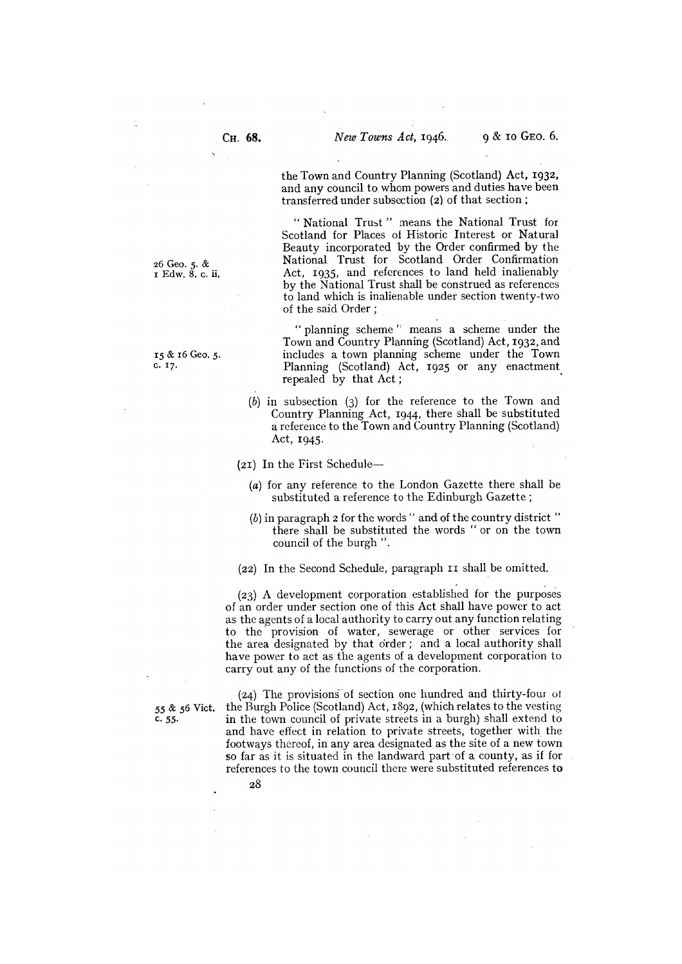the Town and Country Planning (Scotland) Act, 1932, and any council to whom powers and duties have been transferred under subsection (2) of that section

"National Trust" means the National Trust for Scotland for Places of Historic Interest or Natural Beauty incorporated by the Order confirmed by the 26 Geo. 5. & National Trust for Scotland Order Confirmation<br>1 Edw. 8, c. ii. Act, 1935, and references to land held inalienably Act, 1935, and references to land held inalienably by the National Trust shall be construed as references to land which is inalienable under section twenty-two of the said Order:

"planning scheme" means a scheme under the Town and Country Planning (Scotland) Act, 1932, and 15 & 16 Geo. 5. includes a town planning scheme under the Town C. 17. Planning (Scotland) Act, 1925 or any enactment repealed by that Act;

> (b) in subsection (3) for the reference to the Town and Country Planning Act, 1944, there shall be substituted a reference to the Town and Country Planning (Scotland) Act, 1945.

(21) In the First Schedule—

- (a) for any reference to the London Gazette there shall be substituted a reference to the Edinburgh Gazette;
- $(b)$  in paragraph 2 for the words " and of the country district" there shall be substituted the words "or on the town council of the burgh ".

(22) In the Second Schedule, paragraph II shall be omitted.

(23) A development corporation established for the purposes of an order under section one of this Act shall have power to act as the agents of a local authority to carry out any function relating to the provision of water, sewerage or other services for the area designated by that order; and a local authority shall have power to act as the agents of a development corporation to carry out any of the functions of the corporation.

28

(24) The provisions of section one hundred and thirty-four of <sup>55</sup>& 56 Vict. the Burgh Police (Scotland) Act, 1892, (which relates to the vesting in the town council of private streets in a burgh) shall extend to and have effect in relation to private streets, together with the footways thereof, in any area designated as the site of a new town so far as it is situated in the landward part of a county, as if for references to the town council there were substituted references to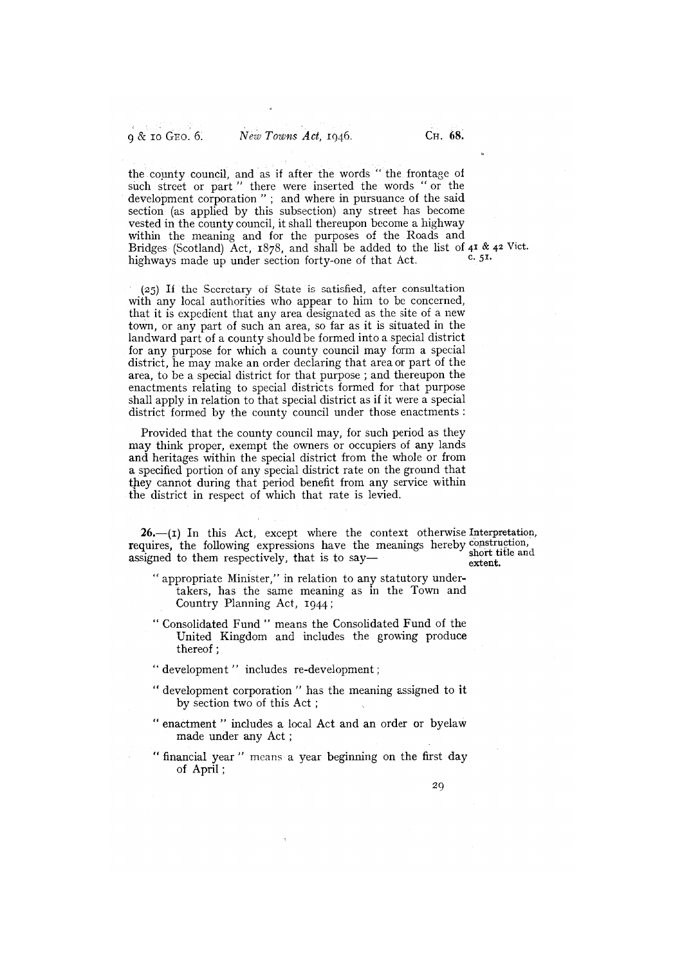the county council, and as if after the words "the frontage of such street or part " there were inserted the words "or the development corporation" ; and where in pursuance of the said section (as applied by this subsection) any street has become vested in the county council, it shall thereupon become a highway within the meaning and for the purposes of the Roads and Bridges (Scotland) Act, 1878, and shall be added to the list of  $4^1$  &  $4^2$  Vict.<br>highways made up under section forty-one of that Act c. 51. highways made up under section forty-one of that Act.

 $(25)$  If the Secretary of State is satisfied, after consultation with any local authorities who appear to him to be concerned, that it is expedient that any area designated as the site of a new town, or any part of such an area, so far as it is situated in the landward part of a county should be formed into a special district for any purpose for which a county council may form a special district, he may make an order declaring that area or part of the area, to be a special district for that purpose; and thereupon the enactments relating to special districts formed for that purpose shall apply in relation to that special district as if it were a special district formed by the county council under those enactments:

Provided that the county council may, for such period as they may think proper, exempt the owners or occupiers of any lands and heritages within the special district from the whole or from a specified portion of any special district rate on the ground that cannot during that period benefit from any service within the district in respect of which that rate is levied.

 $26$ —(I) In this Act, except where the context otherwise Interpretation, requires, the following expressions have the meanings hereby construction, assigned to them respectively, that is to say short title and<br>extent.

- "appropriate Minister," in relation to any statutory undertakers, has the same meaning as in the Town and Country Planning Act, 1944;
- "Consolidated Fund" means the Consolidated Fund of the United Kingdom and includes the growing produce thereof;
- " development " includes re-development;
- "development corporation" has the meaning assigned to it by section two of this Act
- "enactment" includes a local Act and an order or byelaw made under any Act;
- "financial year" means a year beginning on the first day of April;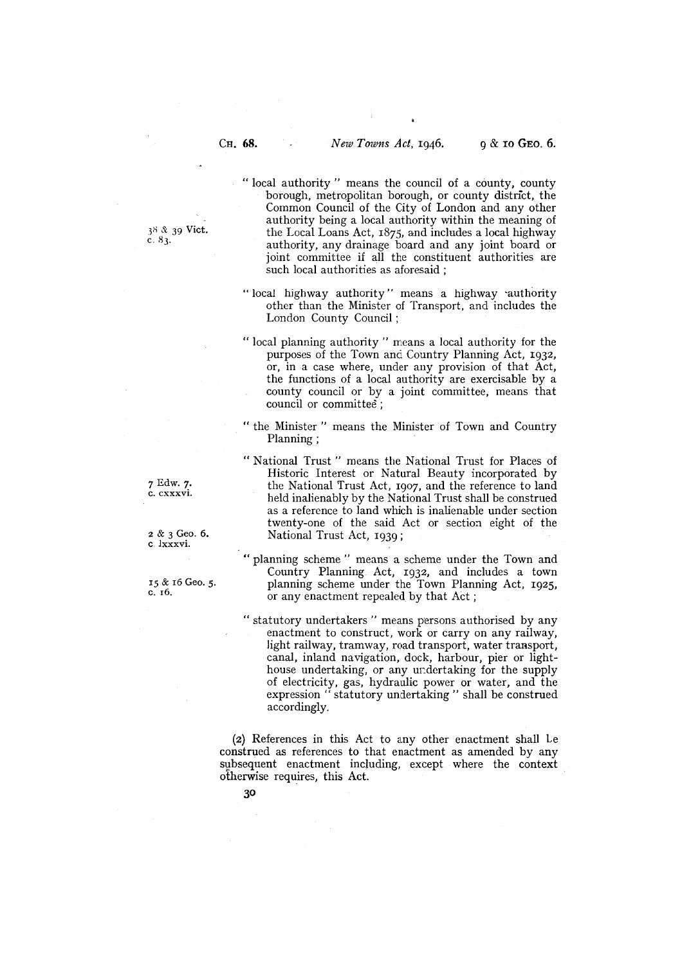"local authority" means the council of a county, county borough, metropolitan borough, or county district, the Common Council of the City of London and any other authority being a local authority within the meaning of  $3<sup>8</sup>$  &  $3<sup>9</sup>$  Vict.<br>the Local Loans Act,  $1875$ , and includes a local highway<br>c. 83. authority, any drainage board and any joint board or joint committee if all the constituent authorities are such local authorities as aforesaid ;

- "local highway authority" means a highway authority other than the Minister of Transport, and includes the London County Council;
- "local planning authority" means a local authority for the purposes of the Towm and Country Planning Act, 1932, or, in a case where, under any provision of that Act, the functions of a local authority are exercisable by a county council or by a joint committee, means that council or committee;
- the Minister" means the Minister of Town and Country Planning;
- "National Trust" means the National Trust for Places of Historic Interest or Natural Beauty incorporated by 7 Edw. 7. the National Trust Act, 1907, and the reference to land held inalienably by the National Trust shall be construed as a reference to land which is inalienable under section twenty-one of the said Act or section eight of the <sup>2</sup>& 3 Geo. 6. National Trust Act, 1939;
- planning scheme" means a scheme under the Town and Country Planning Act, 1932, and includes a town <sup>15</sup>& i6 Geo. 5. planning scheme under the Town Planning Act, 1925,  $15 \& 16 \& 5.$  planning scheme under the Town Plann c. 16.<br>or any enactment repealed by that Act;
	- "statutory undertakers" means persons authorised by any enactment to construct, work or carry on any railway, light railway, tramway, road transport, water transport, canal, inland navigation, dock, harbour, pier or lighthouse undertaking, or any undertaking for the supply of electricity, gas, hydraulic power or water, and the expression "statutory undertaking" shall be construed accordingly.

(2) References in this Act to any other enactment shall Le construed as references to that enactment as amended by any subsequent enactment including, except where the context otherwise requires, this Act.

C. lxxxvi.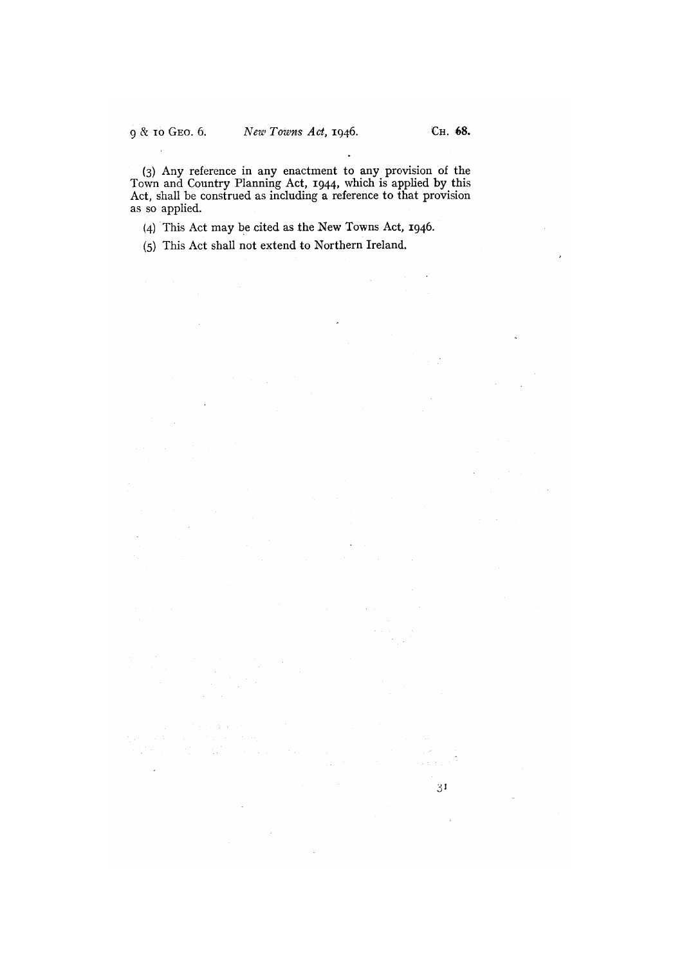$\overline{\phantom{a}}$ 

 $31$ 

(3) Any reference in any enactment to any provision of the Town and Country Planning Act, 1944, which is applied by this Act, shall be construed as including a reference to that provision as so applied.

 $\bar{z}$ 

(4) This Act may be cited as the New Towns Act, 1946.

(5) This Act shall not extend to Northern Ireland.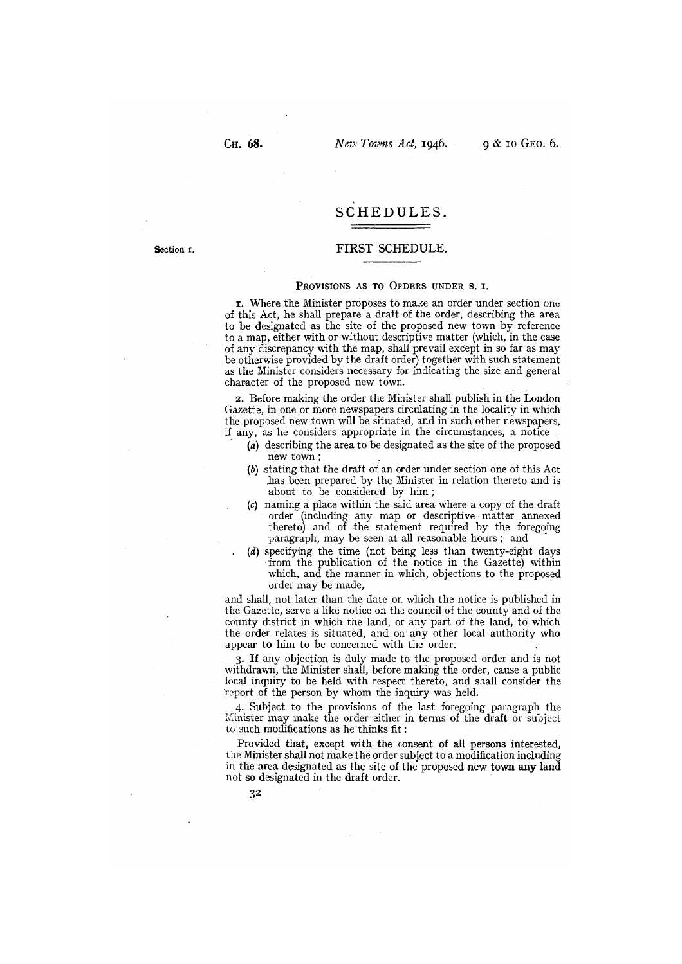# SCHEDULES.

### Section r. FIRST SCHEDULE.

#### PROVISIONS AS TO ORDERS UNDER S. I.

x. Where the Minister proposes to make an order under section one of this Act, he shall prepare a draft of the order, describing the area to be designated as the site of the proposed new town by reference to a map, either with or without descriptive matter (which, in the case of any discrepancy with the map, shall prevail except in so far as may be otherwise provided by the draft order) together with such statement as the Minister considers necessary for indicating the size and general character of the proposed new town.

2. Before making the order the Minister shall publish in the London Gazette, in one or more newspapers circulating in the locality in which the proposed new town will be situated, and in such other newspapers, if any, as he considers appropriate in the circumstances, a notice—

- (a) describing the area to be designated as the site of the proposed new town;
- (b) stating that the draft of an order under section one of this Act ,has been prepared by the Minister in relation thereto and is about to be considered by him;
- (c) naming a place within the said area where a copy of the draft order (including any map or descriptive matter annexed thereto) and of the statement required by the foregoing paragraph, may be seen at all reasonable hours; and
- (d) specifying the time (not being less than twenty-eight days from the publication of the notice in the Gazette) within which, and the manner in which, objections to the proposed order may be made,

and shall, not later than the date on which the notice is published in the Gazette, serve a like notice on the council of the county and of the county district in which the land, or any part of the land, to which the order relates is situated, and on any other local authority who appear to him to be concerned with the order.

3. If any objection is duly made to the proposed order and is not withdrawn, the Minister shall, before making the order, cause a public local inquiry to be held with respect thereto, and shall consider the report of the person by whom the inquiry was held.

4. Subject to the provisions of the last foregoing paragraph the Minister may make the order either in terms of the draft or subject to such modifications as he thinks fit:

Provided that, except with the consent of all persons interested, the Minister shall not make the order subject to a modification including in the area designated as the site of the proposed new town any land not so designated in the draft order.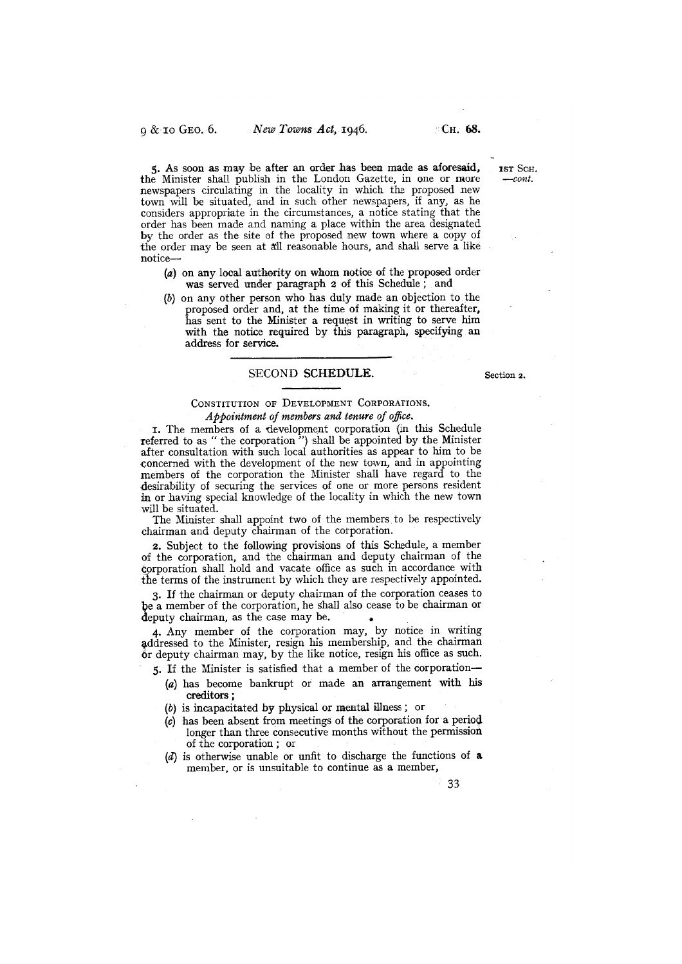5. As soon as may be after an order has been made as aforesaid, 1ST SCH. the Minister shall publish in the London Gazette, in one or more —cont. newspapers circulating in the locality in which the proposed new town will be situated, and in such other newspapers, if any, as he considers appropriate in the circumstances, a notice stating that the order has been made and naming a place within the area designated by the order as the site of the proposed new town where a copy of the order may be seen at all reasonable hours, and shall serve a like notice—

- (a) on any local authority on whom notice of the proposed order was served under paragraph 2 of this Schedule; and
- (b) on any other person who has duly made an objection to the proposed order and, at the time of making it or thereafter, has sent to the Minister a request in writing to serve him with the notice required by this paragraph, specifying an address for service.

# SECOND SCHEDULE. Section 2.

# CONSTITUTION OF DEVELOPMENT CORPORATIONS. Appointment of members and tenure of office.

i. The members of a development corporation (in this Schedule referred to as "the corporation") shall be appointed by the Minister after consultation with such local authorities as appear to him to be concerned with the development of the new town, and in appointing members of the corporation the Minister shall have regard to the desirability of securing the services of one or more persons resident In or having special knowledge of the locality in which the new town will be situated.

The Minister shall appoint two of the members to be respectively chairman and deputy chairman of the corporation.

2. Subject to the following provisions of this Schedule, a member of the corporation, and the chairman and deputy chairman of the corporation shall hold and vacate office as such in accordance with the terms of the instrument by which they are respectively appointed.

3. If the chairman or deputy chairman of the corporation ceases to be a member of the corporation, he shall also cease to be chairman or deputy chairman, as the case may be.

4. Any member of the corporation may, by notice in writing addressed to the Minister, resign his membership, and the chairman or deputy chairman may, by the like notice, resign his office as such.

5. If the Minister is satisfied that a member of the corporation—.

- (a) has become bankrupt or made an arrangement with his creditors;
- (b) is incapacitated by physical or mental illness; or
- $(c)$  has been absent from meetings of the corporation for a period longer than three consecutive months without the permission of the corporation; or
- (d) is otherwise unable or unfit to discharge the functions of a member, or is unsuitable to continue as a member,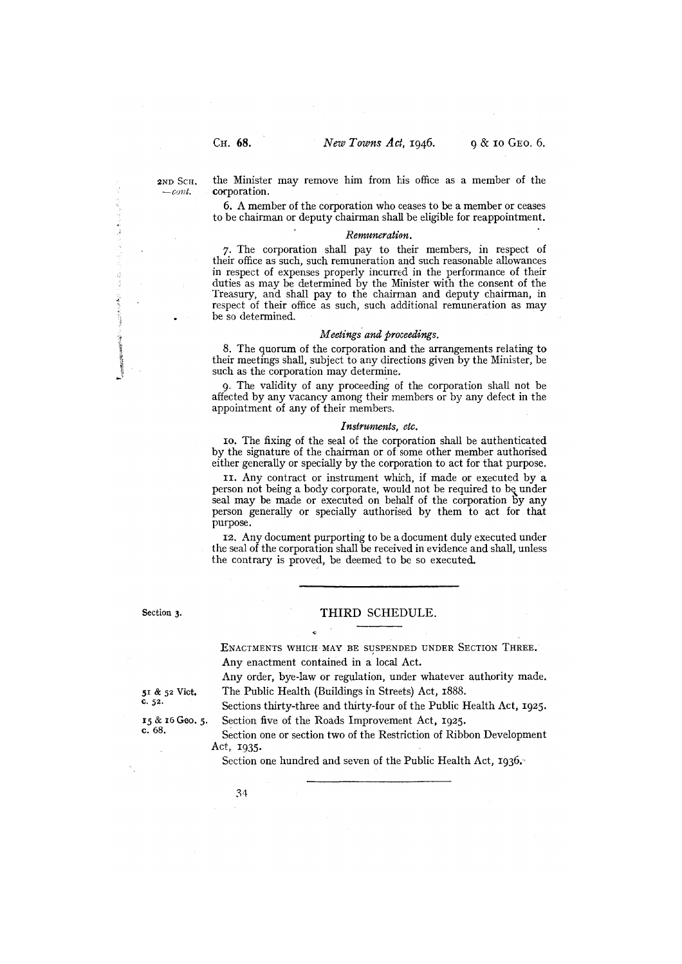$=$ *cont* 

2ND SCH<sub>c</sub> the Minister may remove him from his office as a member of the corporation.

> 6. A member of the corporation who ceases to be a member or ceases to be chairman or deputy chairman shall be eligible for reappointment.

#### Remuneration.

7. The corporation shall pay to their members, in respect of their office as such, such remuneration and such reasonable allowances in respect of expenses properly incurred in the performance of their duties as may be determined by the Minister with the consent of the Treasury, and shall pay to the chairman and deputy chairman, in respect of their office as such, such additional remuneration as may be so determined.

#### Meetings and proceedings.

8. The quorum of the corporation and the arrangements relating to their meetings shall, subject to any directions given by the Minister, be such as the corporation may determine.

9. The validity of any proceeding of the corporation shall not be affected by any vacancy among their members or by any defect in the appointment of any of their members.

#### Instruments, etc.

ro. The fixing of the seal of the corporation shall be authenticated by the signature of the chairman or of some other member authorised either generally or specially by the corporation to act for that purpose.

11. Any contract or instrument which, if made or executed by a person not being a body corporate, would not be required to be under seal may be made or executed on behalf of the corporation by any person generally or specially authorised by them to act for that purpose.

12. Any document purporting to be a document duly executed under the seal of the corporation shall be received in evidence and shall, unless the contrary is proved, be deemed to be so executed.

# Section 3. THIRD SCHEDULE.

ENACTMENTS WHICH MAY BE SUSPENDED UNDER SECTION THREE. Any enactment contained in a local Act.

Any order, bye-law or regulation, under whatever authority made. <sup>51</sup>& 52 Vict. The Public Health (Buildings in Streets) Act, i888.

C. 52. Sections thirty-three and thirty-four of the Public Health Act, 1925.

 $\frac{15 \& 16 \& 60.5}{5 \& 68.5}$ . Section five of the Roads Improvement Act, 1925.

Section one or section two of the Restriction of Ribbon Development Act, 1935.

Section one hundred and seven of the Public Health Act, 1936.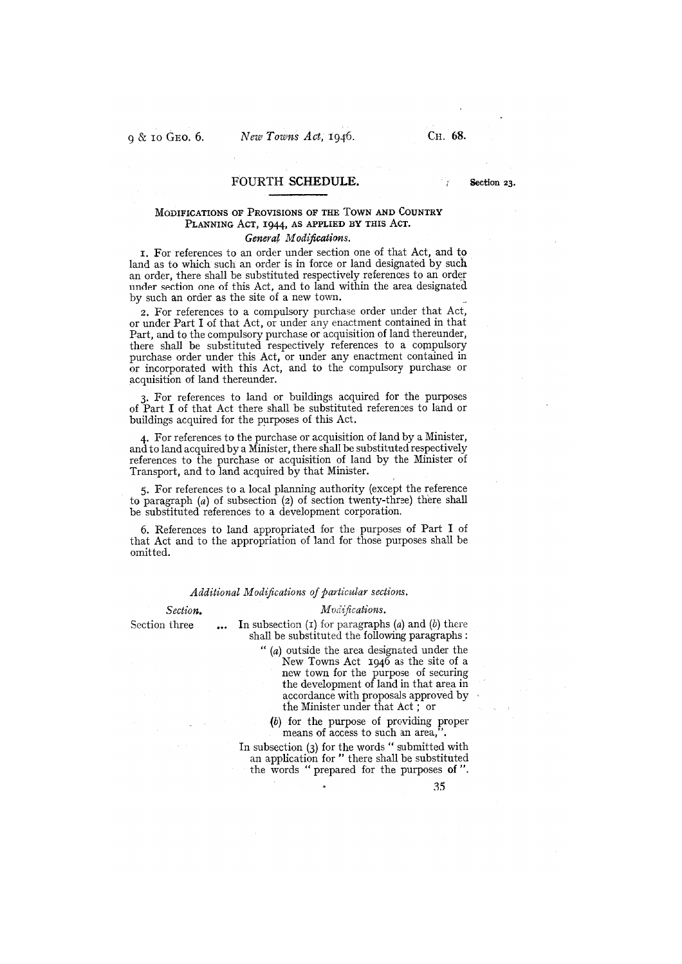# FOURTH SCHEDULE. Section 23.

# MODIFICATIONS OF PROVISIONS OF THE TOWN AND COUNTRY PLANNING ACT, 1944, AS APPLIED BY THIS ACT. General Modifications.

i. For references to an order under section one of that Act, and to land as to which such an order is in force or land designated by such an order, there shall be substituted respectively references to an order under section one of this Act, and to land within the area designated by such an order as the site of a new town.

2. For references to a compulsory purchase order under that Act, or under Part I of that Act, or under any enactment contained in that Part, and to the compulsory purchase or acquisition of land thereunder, there shall be substituted respectively references to a compulsory purchase order under this Act, or under any enactment contained in or incorporated with this Act, and to the compulsory purchase or acquisition of land thereunder.

3. For references to land or buildings acquired for the purposes of Part I of that Act there shall be substituted references to land or buildings acquired for the purposes of this Act.

4. For references to the purchase or acquisition of land by a Minister, and to land acquired by a Minister, there shall be substituted respectively references to the purchase or acquisition of land by the Minister of Transport, and to land acquired by that Minister.

5. For references to a local planning authority (except the reference to paragraph (a) of subsection (2) of section twenty-three) there shall be substituted references to a development corporation.

6. References to land appropriated for the purposes of Part I of that Act and to the appropriation of land for those purposes shall be omitted.

### Additional Modifications of particular sections.

#### Section. Modifications.

Section three  $\qquad \ldots \quad$  In subsection (1) for paragraphs (a) and (b) there shall be substituted the following paragraphs:

"(a) outside the area designated under the New Towns Act 1946 as the site of a new town for the purpose of securing the development of land in that area in accordance with proposals approved by the Minister under that Act ; or

(b) for the purpose of providing proper means of access to such an area,

In subsection (3) for the words " submitted with an application for" there shall be substituted the words "prepared for the purposes of".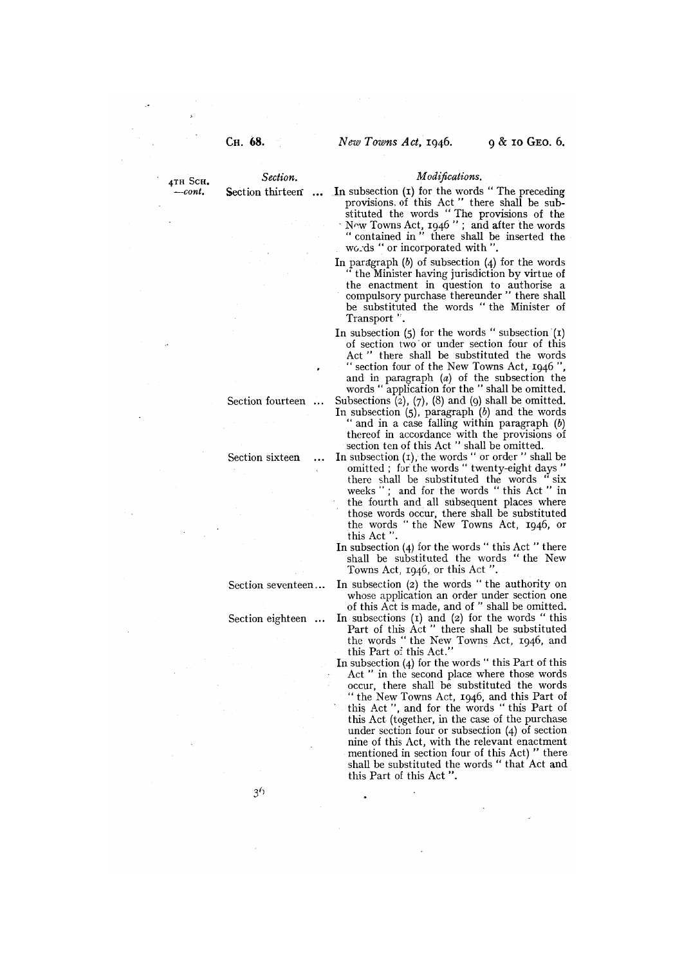- 4TH SCH. Section. Modifications.<br>--cont. Section thirteen ... In subsection (1) for the words In subsection  $(I)$  for the words "The preceding provisions. of this Act" there shall be substituted the words " The provisions of the Towns Act, 1946"; and after the words "contained in" there shall be inserted the wo.ds " or incorporated with "
	- In paragraph  $(b)$  of subsection  $(4)$  for the words the Minister having jurisdiction by virtue of the enactment in question to authorise a compulsory purchase thereunder" there shall be substituted the words "the Minister of Transport".
	- In subsection  $(5)$  for the words " subsection  $(1)$ of section two or under section four of this Act " there shall be substituted the words" " section four of the New Towns Act, 1946", and in paragraph (a) of the subsection the words " application for the " shall be omitted.
	- Section fourteen  $\ldots$  Subsections (2), (7), (8) and (9) shall be omitted. In subsection  $(5)$ , paragraph  $(b)$  and the words " and in a case falling within paragraph (b) thereof in accordance with the provisions of section ten of this Act " shall be omitted.
	- Section sixteen  $\ldots$  In subsection (1), the words " or order " shall be omitted ; for the words " twenty-eight days " there shall be substituted the words " six weeks "; and for the words "this Act " in the fourth and all subsequent places where those words occur, there shall be substituted the words " the New Towns Act, 1946, or this Act "
		- In subsection (4) for the words "this Act "there shall be substituted the words " the New Towns Act, 1946, or this Act ".
	- Section seventeen... In subsection (2) the words " the authority on whose application an order under section one of this Act is made, and of" shall be omitted.
	- Section eighteen  $\ldots$  In subsections (1) and (2) for the words "this Part of this Act " there shall be substituted the words "the New Towns Act, 1946, and this Part of this Act."
		- In subsection  $(4)$  for the words " this Part of this Act " in the second place where those words occur, there shall be substituted the words "the New Towns Act, 1946, and this Part of this Act ", and for the words " this Part of this Act (together, in the case of the purchase under section four or subsection  $(4)$  of section nine of this Act, with the relevant enactment mentioned in section four of this Act) " there shall be substituted the words "that Act and this Part of this Act ".

 $3<sup>6</sup>$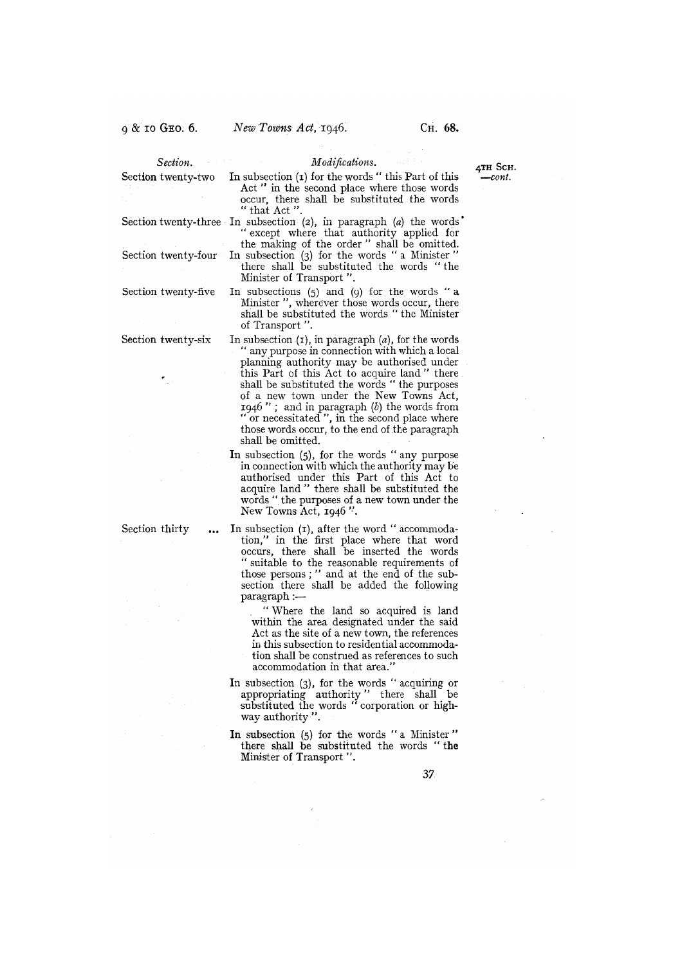| Section.            | <i>Modifications.</i>                                                                                                                                                 | 4тн Scн.  |
|---------------------|-----------------------------------------------------------------------------------------------------------------------------------------------------------------------|-----------|
| Section twenty-two  | In subsection (1) for the words "this Part of this<br>Act " in the second place where those words<br>occur, there shall be substituted the words<br>$\lq$ that Act ". | $-$ cont. |
|                     | Section twenty-three In subsection (2), in paragraph (a) the words<br>"except where that authority applied for<br>the making of the order" shall be omitted.          |           |
|                     | Section twenty-four In subsection (3) for the words "a Minister"<br>there shall be substituted the words "the<br>Minister of Transport".                              |           |
| Section twenty-five | In subsections $(5)$ and $(9)$ for the words "a                                                                                                                       |           |

Minister ", wherever those words occur, there shall be substituted the words " the Minister of Transport ".

- Section twenty-six In subsection  $(I)$ , in paragraph  $(a)$ , for the words "any purpose in connection with which a local planning authority may be authorised under this Part of this Act to acquire land " there shall be substituted the words "the purposes of a new town under the New Towns Act, 1946"; and in paragraph  $(b)$  the words from or necessitated ", in the second place where those words occur, to the end of the paragraph shall be omitted.
	- In subsection (5), for the words "any purpose in connection with which the authority may be anthorised under this Part of this Act to acquire land" there shall be substituted the words" the purposes of a new town under the New Towns Act, 1946".

Section thirty  $\ldots$  In subsection (1), after the word " accommodation," in the first place where that word occurs, there shall be inserted the words suitable to the reasonable requirements of those persons;" and at the end of the subsection there shall be added the following paragraph :—

> "Where the land so acquired is land within the area designated under the said Act as the site of a new town, the references in this subsection to residential accommodation shall be construed as references to such accommodation in that area."

- In subsection  $(3)$ , for the words "acquiring or appropriating authority" there shall be substituted the words "corporation or highway authority".
- In subsection (5) for the words "a Minister" there shall be substituted the words "the Minister of Transport ".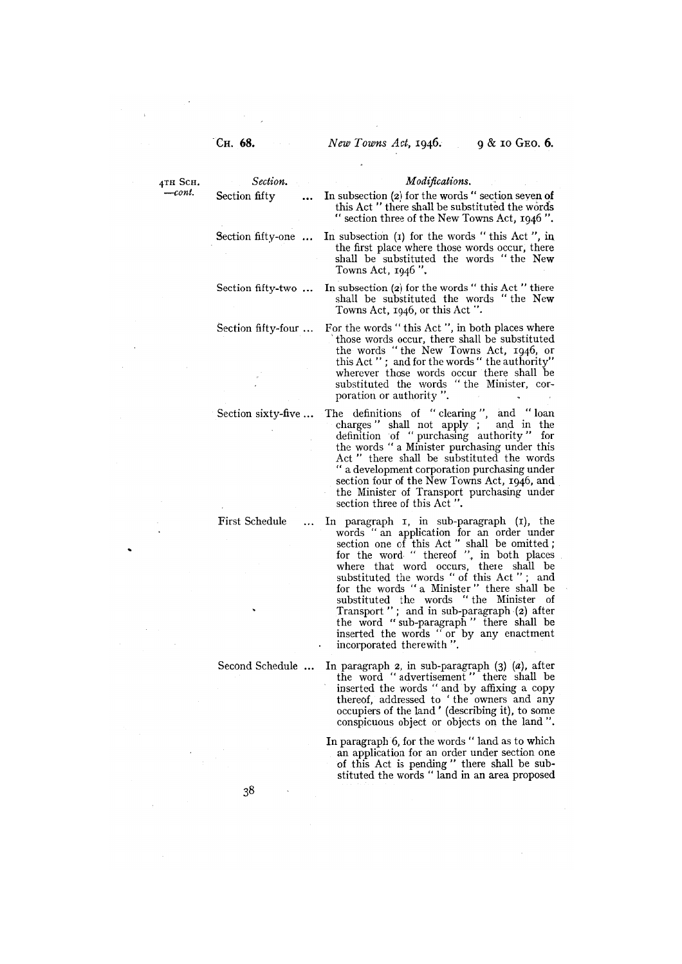Towns Act, 1946 ".

4TH SCH. Section. Modifications.<br>-cont. Section fifty In subsection (a) for the words. Section fifty  $\ldots$  In subsection (2) for the words " section seven of this Act " there shall be substituted the words section three of the New Towns Act, 1946".

> the first place where those words occur, there shall be substituted the words "the New

> shall be substituted the words "the New

those words occur, there shall be substituted the words "the New Towns Act, 1946, or this Act " ; and for the words" the authority" wherever those words occur there shall be substituted the words " the Minister, cor-

Section fifty-one ... In subsection (1) for the words "this Act", in

Section fifty-two  $\ldots$  In subsection (2) for the words "this Act "there

Section fifty-four ... For the words "this Act ", in both places where

- 
- incorporated therewith ". Second Schedule ... In paragraph 2, in sub-paragraph (3) (a), after the word "advertisement" there shall be inserted the words "and by affixing a copy thereof, addressed to 'the owners and any occupiers of the land' (describing it), to some
	- In paragraph 6, for the words " land as to which an application for an order under section one of this Act is pending" there shall be substituted the words "land in an area proposed

conspicuous object or objects on the land ".

poration or authority ". Section sixty-five ... The definitions of "clearing", and "loan charges" shall not apply ; and in the definition of " purchasing authority" for the words "a Minister purchasing under this

Towns Act, 1946, or this Act".

- Act " there shall be substituted the words "a development corporation purchasing under section four of the New Towns Act, 1946, and the Minister of Transport purchasing under
- section three of this Act ". First Schedule ... In paragraph i, in sub-paragraph (i), the words " an application for an order under section one of this Act " shall be omitted
	- for the word. " thereof ", in both places where that word occurs, there shall be substituted the words "of this Act " ; and for the words " a Minister " there shall be substituted the words " the Minister of Transport"; and in sub-paragraph (2) after the word "sub-paragraph" there shall be inserted the words "or by any enactment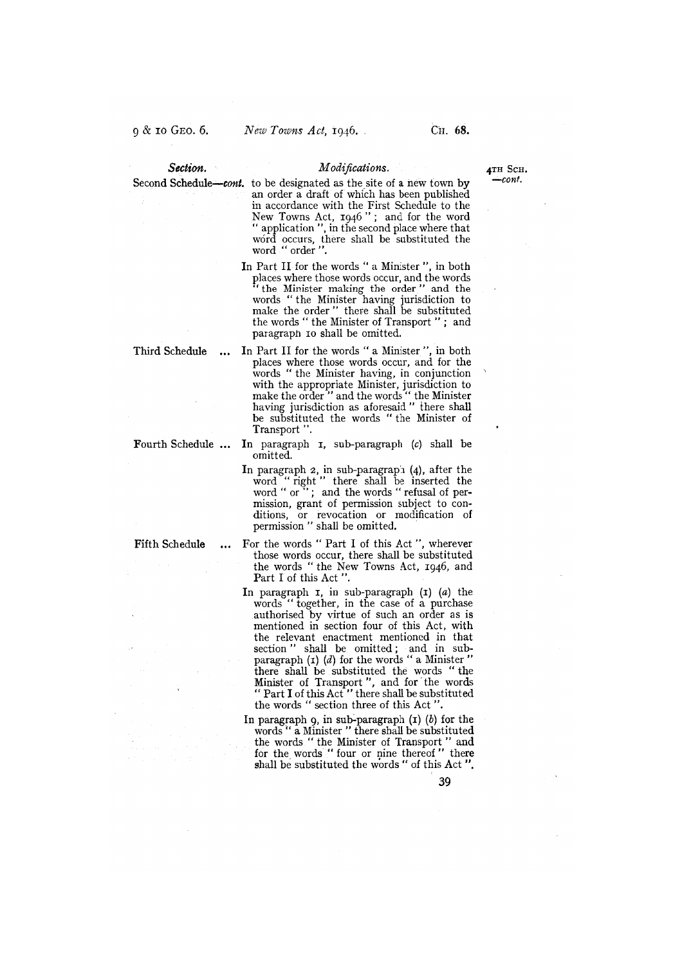- Section. Modifications.  $4TH$  Scu.<br>Schodals and to be designed as the site of a new term has  $-const$ . Second Schedule—cont. to be designated as the site of a new town by an order a draft of which has been published in accordance with the First Schedule to the New Towns Act, 1946"; and for the word " application ", in the second place where that word occurs, there shall be substituted the word "order ".
	- In Part II for the words " a Minister ", in both places where those words occur, and the words "the Minister making the order" and the words "the Minister having jurisdiction to make the order" there shall be substituted the words " the Minister of Transport " ; and paragraph io shall be omitted.

- Third Schedule ... In Part II for the words "a Minister ", in both places where those words occur, and for the words "the Minister having, in conjunction with the appropriate Minister, jurisdiction to make the order" and the words" the Minister having jurisdiction as aforesaid" there shall be substituted the words " the Minister of Transport ".
- Fourth Schedule ... In paragraph I, sub-paragraph (c) shall be omitted.
	- In paragraph 2, in sub-paragraph (4), after the word "right" there shall be inserted the word " right" there share be inserted the<br>word " or "; and the words " refusal of permission, grant of permission subject to conditions, or revocation or modification of permission " shall be omitted.
- Fifth Schedule ... For the words "Part I of this Act", wherever those words occur, there shall be substituted the words "the New Towns Act, 1946, and Part I of this Act".
	- In paragraph  $\overline{I}$ , in sub-paragraph  $\overline{I}$  (a) the words "together, in the case of a purchase authorised by virtue of such an order as is mentioned in section four of this Act, with the relevant enactment mentioned in that section" shall be omitted; and in subparagraph  $(i)$   $(d)$  for the words " a Minister" there shall be substituted the words "the Minister of Transport", and for the words " Part I of this Act" there shall be substituted the words "section three of this Act ".
	- In paragraph 9, in sub-paragraph  $(r)$   $(b)$  for the words " a Minister " there shall be substituted the words "the Minister of Transport" and for the words "four or nine thereof" there shall be substituted the words " of this Act".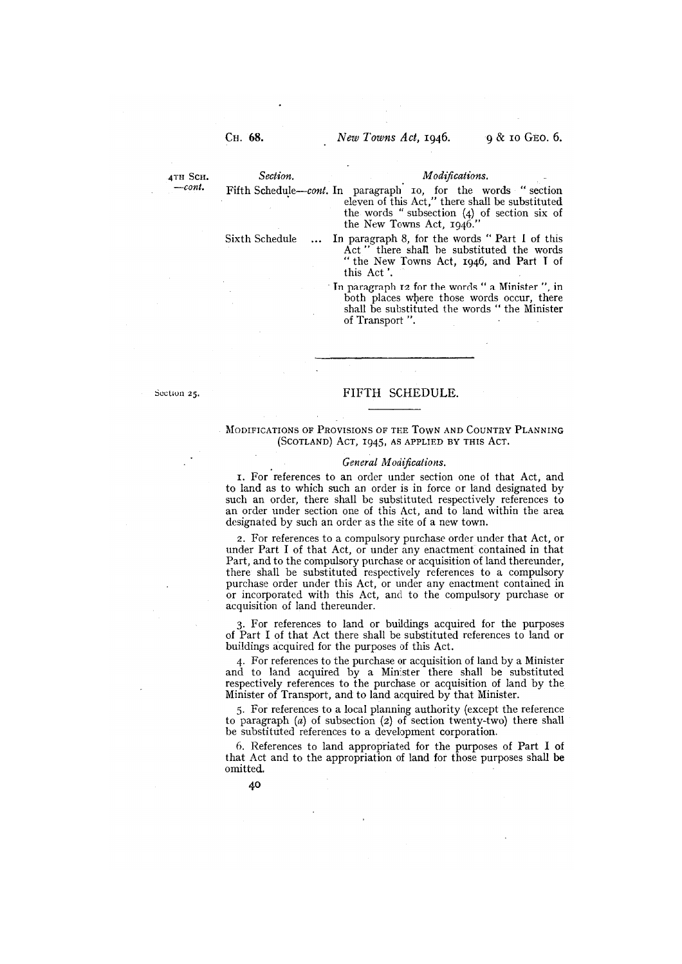# 4TH SCH. Section. Modifications.

-cont. Fifth Schedule-cont. In paragraph 10, for the words "section eleven of this Act," there shall be substituted the words "subsection (4) of section six of the New Towns Act, 1946."

Sixth Schedule ... In paragraph 8, for the words " Part I of this Act " there shall he substituted the words "the New Towns Act, 1946, and Part T of this Act

> In paragraph 12 for the words " a Minister ", in both places where those words occur, there shall be substituted the words " the Minister of Transport ".

### Section 25. FIFTH SCHEDULE.

### MODIFICATIONS OF PROVISIONS OF THE TOWN AND COUNTRY PLANNING (SCOTLAND) ACT, 1945, AS APPLIED BY THIS ACT.

#### General Modifications.

I. For references to an order under section one of that Act, and to land as to which such an order is in force or land designated by such an order, there shall be substituted respectively references to an order under section one of this Act, and to land within the area designated by such an order as the site of a new town.

2. For references to a compulsory purchase order under that Act, or under Part I of that Act, or under any enactment contained in that Part, and to the compulsory purchase or acquisition of land thereunder, there shall be substituted respectively references to a compulsory purchase order under this Act, or under any enactment contained in or incorporated with this Act, and to the compulsory purchase or acquisition of land thereunder.

3. For references to land or buildings acquired for the purposes of Part I of that Act there shall be substituted references to land or buildings acquired for the purposes of this Act.

4. For references to the purchase or acquisition of land by a Minister and to land acquired by a Minister there shall be substituted respectively references to the purchase or acquisition of land by the Minister of Transport, and to land acquired by that Minister.

5. For references to a local planning authority (except the reference to paragraph (a) of subsection (2) of section twenty-two) there shall be substituted references to a development corporation.

6. References to land appropriated for the purposes of Part I of that Act and to the appropriation of land for those purposes shall be omitted.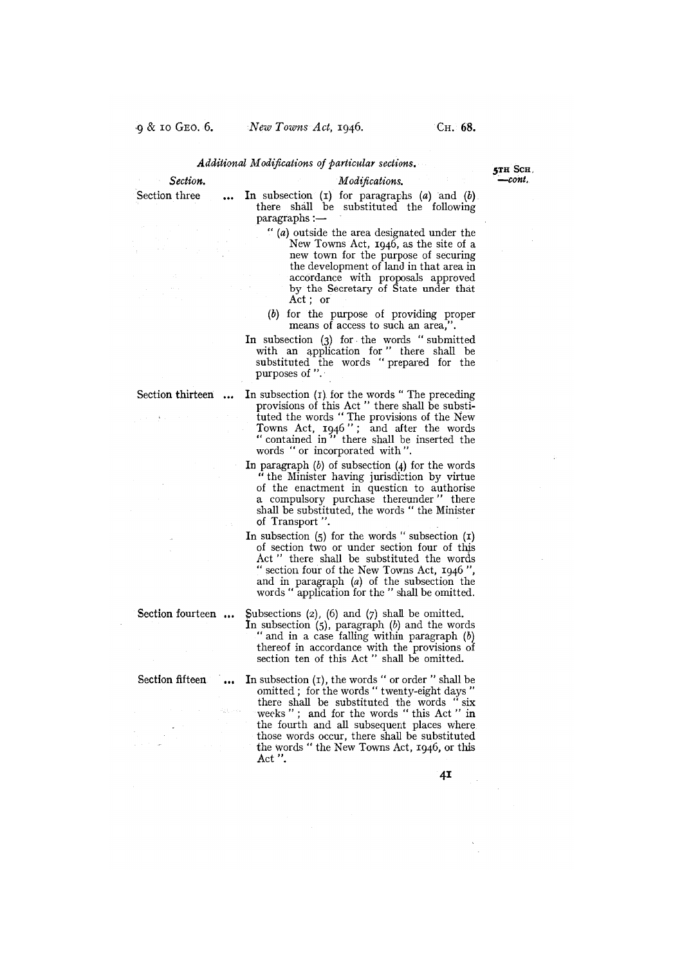# Additional Modifications of particular sections.

Section. Modifications. —cont.

# Section three  $\ldots$  In subsection (1) for paragraphs (a) and (b) there shall be substituted the following paragraphs

- "(a) outside the area designated under the New Towns Act, 1946, as the site of a new town for the purpose of securing the development of land in that area in accordance with proposals approved by the Secretary of State under that Act; or
- (b) for the purpose of providing proper means of access to such an area,".
- In subsection (3) for the words "submitted with an application for" there shall be substituted the words "prepared for the purposes of ".
- Section thirteen  $\ldots$  In subsection (1) for the words "The preceding provisions of this Act " there shall be substituted the words "The provisions of the New Towns Act, 1946" ; and after the words " contained in " there shall be inserted the words "or incorporated with ".
	- In paragraph  $(b)$  of subsection  $(4)$  for the words "the Minister having jurisdiction by virtue of the enactment in question to authorise a compulsory purchase thereunder" there shall be substituted, the words " the Minister of Transport ".
	- In subsection  $(5)$  for the words " subsection  $(1)$ of section two or under section four of this Act " there shall be substituted the words "section four of the New Towns Act, 1946 ", and in paragraph (a) of the subsection the words " application for the " shall be omitted.

Section fourteen  $\ldots$  Subsections (2), (6) and (7) shall be omitted. In subsection  $(5)$ , paragraph  $(b)$  and the words " and in a case falling within paragraph  $(b)$ thereof in accordance with the provisions of section ten of this Act " shall be omitted.

Section fifteen  $\ldots$  In subsection (1), the words " or order " shall be omitted; for the words "twenty-eight days there shall be substituted the words " six weeks" ; and for the words "this Act" in the fourth and all subsequent places where those words occur, there shall be substituted the words "the New Towns Act, 1946, or this Act ".

4I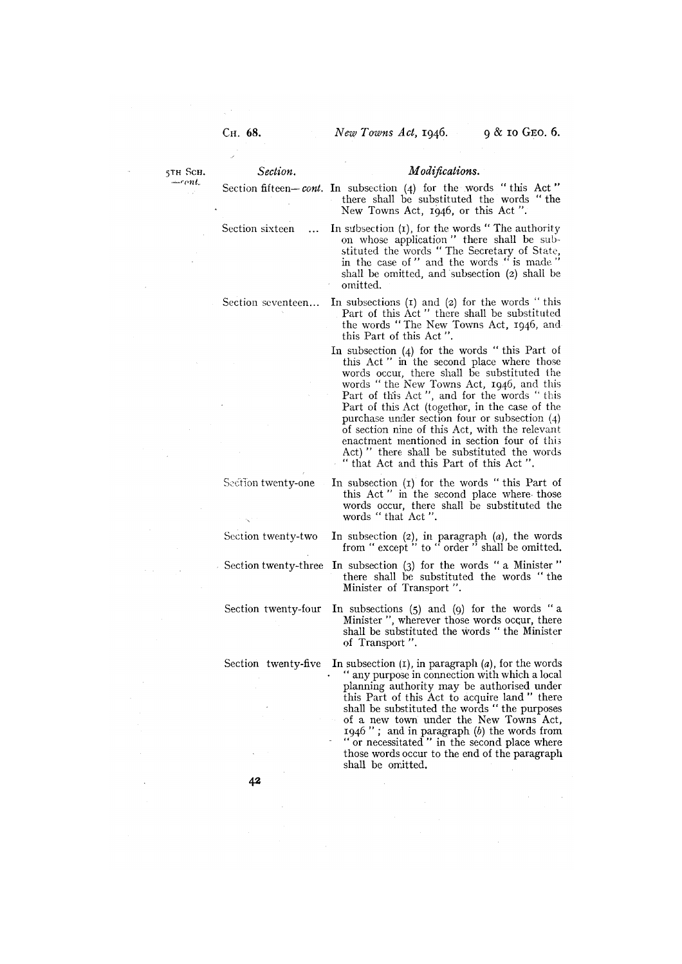- 5TH SCH. Section. Modifications.
	- Section fifteen-cont. In subsection (4) for the words " this Act there shall be substituted the words "the New Towns Act, 1946, or this Act ".
	- Section sixteen ... In subsection (1), for the words "The authority on whose application " there shall be substituted the words " The Secretary of State, in the case of " and the words " is made" shall be omitted, and subsection (2) shall be omitted.
	- Section seventeen... In subsections (1) and (2) for the words "this Part of this Act" there shall be substituted the words "The New Towns Act, 1946, andthis Part of this Act ".
		- In subsection (4) for the words " this Part of this Act" in the second place where those words occur, there shall be substituted the words " the New Towns Act, 1946, and this Part of this Act ", and for the words "this Part of this Act (together, in the case of the purchase under section four or subsection (4) of section nine of this Act, with the relevant enactment mentioned in section four of this Act) " there shall be substituted the words " that Act and this Part of this Act".
	- Section twenty-one In subsection (1) for the words "this Part of this Act" in the second place where those words occur, there shall be substituted the words "that Act".
	- Section twenty-two In subsection (2), in paragraph (a), the words from " except " to " order " shall be omitted.
	- Section twenty-three In subsection (3) for the words " a Minister" there shall be substituted the words "the Minister of Transport ".

Section twenty-four In subsections (5) and (9) for the words " <sup>a</sup> Minister ", wherever those words occur, there shall be substituted the words "the Minister of Transport ".

Section twenty-five In subsection  $(I)$ , in paragraph  $(a)$ , for the words "any purpose in connection with which a local planning authority may be authorised under this Part of this Act to acquire land " there shall be substituted the words "the purposes of a new town under the New Towns Act, 1946"; and in paragraph  $(b)$  the words from "or necessitated" in the second place where those words occur to the end of the paragraph shall be omitted.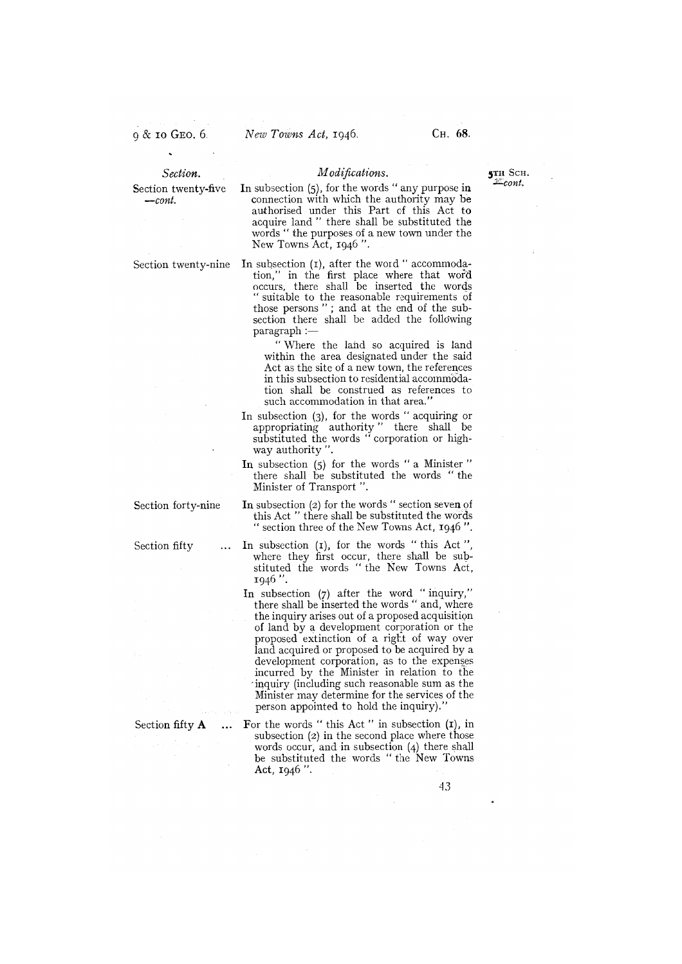- Section. Modifications. **3TH SCH.** 3TH SCH. Section twenty-five In subsection (5), for the words " any purpose in  $\text{...}$  connection with which the authority may be connection with which the authority may be authorised under this Part of this Act to acquire land " there shall be substituted the words "the purposes of a new town under the New Towns Act, 1946 ".
- Section twenty-nine In subsection (1), after the word "accommodation," in the first place where that word occurs, there shall be inserted the words suitable to the reasonable requirements of those persons " ; and at the end of the subsection there shall be added the following paragraph

"Where the land so acquired is land within the area designated under the said Act as the site of a new town, the references in this subsection to residential accommodation shall be construed as references to such accommodation in that area."

- In subsection (3), for the words " acquiring or appropriating authority" there shall be substituted the words " corporation or highway authority ".
- In subsection (5) for the words " a Minister there shall be substituted the words " the Minister of Transport ".
- Section forty-nine In subsection (2) for the words " section seven of this Act " there shall be substituted the words section three of the New Towns Act, 1946 ".
- Section fifty ... In subsection (1), for the words "this Act" where they first occur, there shall be substituted the words "the New Towns Act, 1946 ".
	- In subsection (7) after the word " inquiry," there shall be inserted the words " and, where the inquiry arises out of a proposed acquisition of land by a development corporation or the proposed extinction of a right of way over land acquired or proposed to be acquired by a development corporation, as to the expenses incurred by the Minister in relation to the inquiry (including such reasonable sum as the Minister may determine for the services of the person appointed to hold the inquiry).
- Section fifty  $A$  ... For the words "this Act" in subsection  $(I)$ , in subsection (2) in the second place where those words occur, and in subsection (4) there shall be substituted the words "the New Towns Act, 1946 ".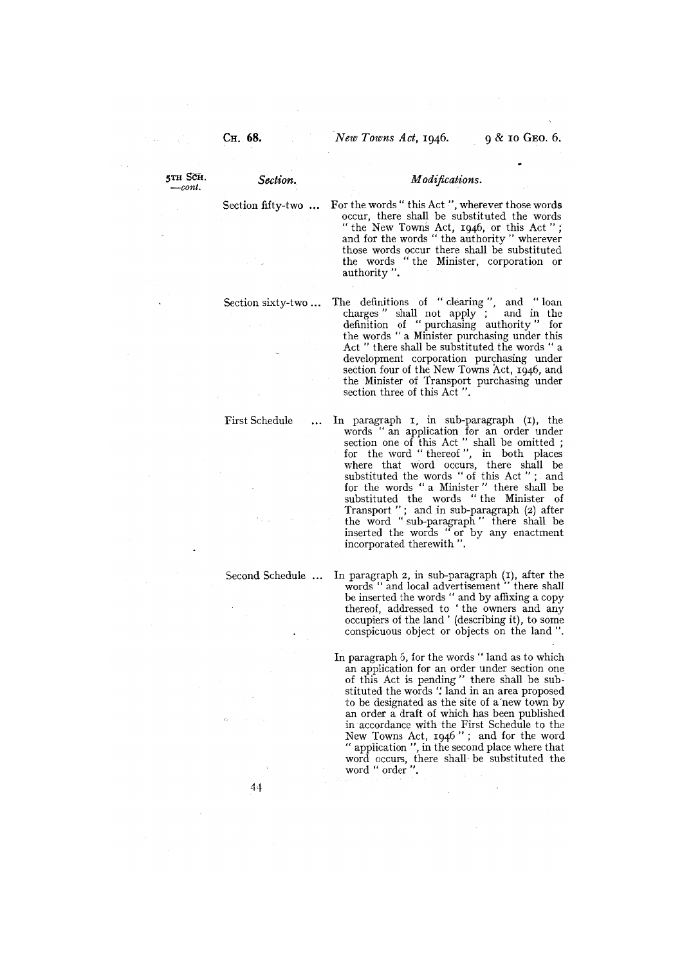$_{-cont.}$ 

Section fifty-two ... For the words "this Act ", wherever those words occur, there shall be substituted the words "the New Towns Act, 1946, or this Act"; and for the words "the authority" wherever those words occur there shall be substituted the words "the Minister, corporation or authority ".

Section sixty-two ... The definitions of "clearing", and "loan charges" shall not apply ; and in the definition of "purchasing authority" for the words " a Minister purchasing under this Act " there shall be substituted the words " a development corporation purchasing under section four of the New Towns Act, 1946, and the Minister of Transport purchasing under section three of this Act ".

First Schedule ... In paragraph 1, in sub-paragraph (1), the words "an application for an order under section one of this Act " shall be omitted for the word " thereof ", in both places where that word occurs, there shall be substituted the words " of this Act " ; and for the words " a Minister" there shall be substituted the words " the Minister of Transport"; and in sub-paragraph (2) after the word "sub-paragraph" there shall be inserted the words "or by any enactment incorporated therewith ".

Second Schedule ... In paragraph 2, in sub-paragraph (I), after the words " and local advertisement " there shall be inserted the words " and by affixing a copy thereof, addressed to 'the owners and any occupiers of the land' (describing it), to some conspicuous object or objects on the land ".

> In paragraph 6, for the words " land as to which an application for an order under section one of this Act is pending" there shall be substituted the words "land in an area proposed to be designated as the site of a new town by an order a draft of which has been published in accordance with the First Schedule to the New Towns Act, 1946"; and for the word "application ", in the second place where that word occurs, there shall be substituted the word " order ".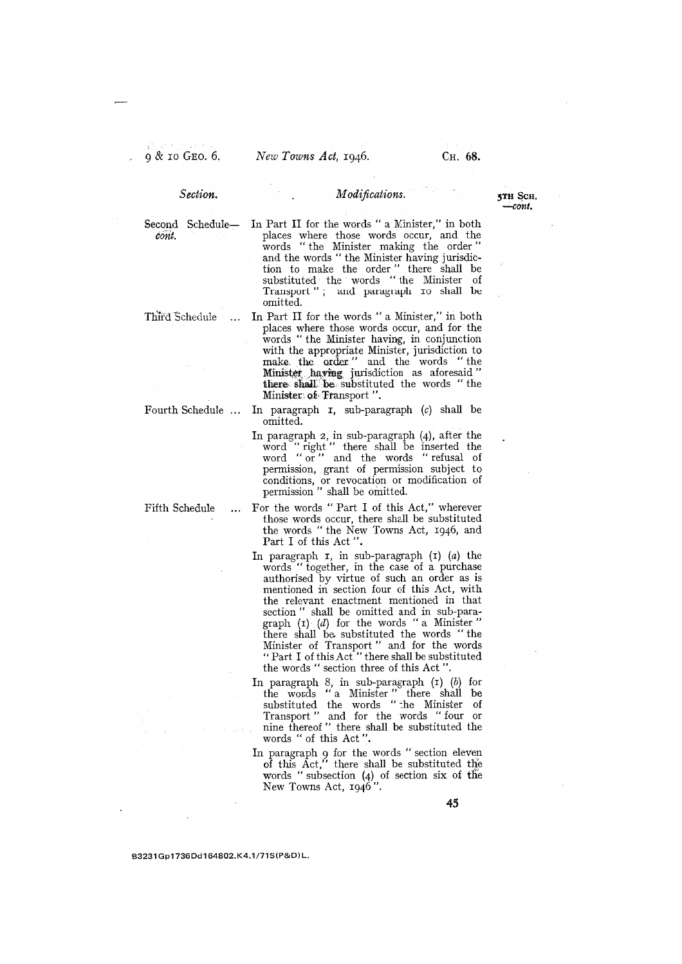5TH Scn. —cont.

Section.

# . Modifications.

cont.

## Second Schedule- In Part II for the words " a Minister," in both places where those words occur, and the words " the Minister making the order" and the words "the Minister having jurisdiction to make the order" there shall be substituted the words "the Minister of Transport"; and paragraph io shall be omitted.

Third Schedule ... In Part II for the words " a Minister," in both places where those words occur, and for the words "the Minister having, in conjunction with the appropriate Minister, jurisdiction to make the order." and the words "the having jurisdiction as aforesaid there shall be substituted the words "the Minister of Transport".

- Fourth Schedule  $\ldots$  In paragraph  $\tau$ , sub-paragraph (c) shall be omitted.
	- In paragraph 2, in sub-paragraph (4), after the word " right " there shall be inserted the word "or" and the words "refusal of permission, grant of permission subject to conditions, or revocation or modification of permission " shall be omitted.
- Fifth Schedule ... For the words " Part I of this Act," wherever those words occur, there shall be substituted the words "the New Towns Act, 1946, and Part I of this Act ".
	- In paragraph  $r$ , in sub-paragraph  $(r)$   $(a)$  the words " together, in the case of a purchase authorised by virtue of such an order as is mentioned in section four of this Act, with the relevant enactment mentioned in that section" shall be omitted and in sub-paragraph  $(I)$   $(d)$  for the words " a Minister" there shall be substituted the words " the Minister of Transport" and for the words "Part I of this Act" there shall be substituted the words " section three of this Act ".
	- In paragraph 8, in sub-paragraph (i) (b) for the wosds " a Minister " there shall be substituted the words " the Minister of Transport" and for the words "four or nine thereof " there shall be substituted the words " of this Act ".
	- In paragraph 9 for the words "section eleven of this Act," there shall be substituted the words " subsection  $(4)$  of section six of the New Towns Act, 1946".

B3231Gp1 736Dd1 64802.K4.1/71S(P&D)L.